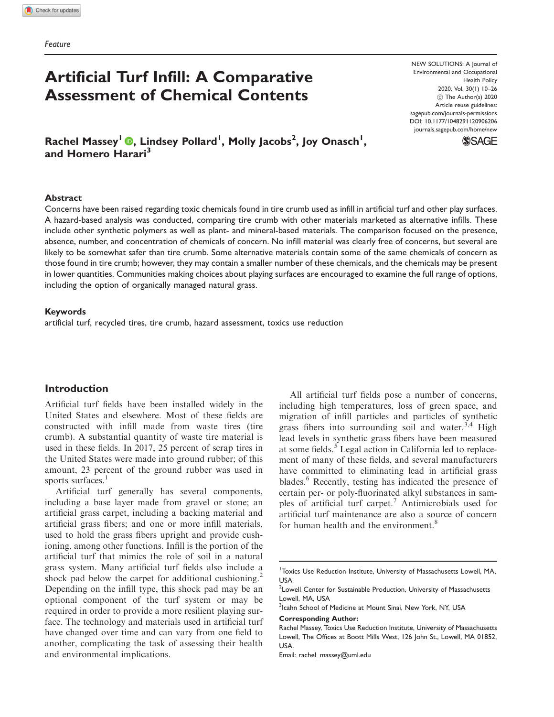# Artificial Turf Infill: A Comparative Assessment of Chemical Contents

NEW SOLUTIONS: A Journal of Environmental and Occupational Health Policy 2020, Vol. 30(1) 10–26  $\circledcirc$  The Author(s) 2020 Article reuse guidelines: [sagepub.com/journals-permissions](http://us.sagepub.com/en-us/journals-permissions) [DOI: 10.1177/1048291120906206](http://dx.doi.org/10.1177/1048291120906206) <journals.sagepub.com/home/new>

**SSAGE** 

## Rachel Massey<sup>1</sup> , Lindsey Pollard<sup>1</sup> , Molly Jacobs2 , Joy Onasch1 , and Homero Harari<sup>3</sup>

#### **Abstract**

Concerns have been raised regarding toxic chemicals found in tire crumb used as infill in artificial turf and other play surfaces. A hazard-based analysis was conducted, comparing tire crumb with other materials marketed as alternative infills. These include other synthetic polymers as well as plant- and mineral-based materials. The comparison focused on the presence, absence, number, and concentration of chemicals of concern. No infill material was clearly free of concerns, but several are likely to be somewhat safer than tire crumb. Some alternative materials contain some of the same chemicals of concern as those found in tire crumb; however, they may contain a smaller number of these chemicals, and the chemicals may be present in lower quantities. Communities making choices about playing surfaces are encouraged to examine the full range of options, including the option of organically managed natural grass.

### Keywords

artificial turf, recycled tires, tire crumb, hazard assessment, toxics use reduction

### Introduction

Artificial turf fields have been installed widely in the United States and elsewhere. Most of these fields are constructed with infill made from waste tires (tire crumb). A substantial quantity of waste tire material is used in these fields. In 2017, 25 percent of scrap tires in the United States were made into ground rubber; of this amount, 23 percent of the ground rubber was used in sports surfaces.<sup>1</sup>

Artificial turf generally has several components, including a base layer made from gravel or stone; an artificial grass carpet, including a backing material and artificial grass fibers; and one or more infill materials, used to hold the grass fibers upright and provide cushioning, among other functions. Infill is the portion of the artificial turf that mimics the role of soil in a natural grass system. Many artificial turf fields also include a shock pad below the carpet for additional cushioning.<sup>2</sup> Depending on the infill type, this shock pad may be an optional component of the turf system or may be required in order to provide a more resilient playing surface. The technology and materials used in artificial turf have changed over time and can vary from one field to another, complicating the task of assessing their health and environmental implications.

All artificial turf fields pose a number of concerns, including high temperatures, loss of green space, and migration of infill particles and particles of synthetic grass fibers into surrounding soil and water.<sup>3,4</sup> High lead levels in synthetic grass fibers have been measured at some fields.<sup>5</sup> Legal action in California led to replacement of many of these fields, and several manufacturers have committed to eliminating lead in artificial grass blades.<sup>6</sup> Recently, testing has indicated the presence of certain per- or poly-fluorinated alkyl substances in samples of artificial turf carpet.<sup>7</sup> Antimicrobials used for artificial turf maintenance are also a source of concern for human health and the environment.<sup>8</sup>

#### Corresponding Author:

Email: [rachel\\_massey@uml.edu](mailto:rachel_massey@uml.edu)

<sup>&</sup>lt;sup>1</sup> Toxics Use Reduction Institute, University of Massachusetts Lowell, MA, USA

<sup>&</sup>lt;sup>2</sup> Lowell Center for Sustainable Production, University of Massachusetts Lowell, MA, USA

<sup>&</sup>lt;sup>3</sup>Icahn School of Medicine at Mount Sinai, New York, NY, USA

Rachel Massey, Toxics Use Reduction Institute, University of Massachusetts Lowell, The Offices at Boott Mills West, 126 John St., Lowell, MA 01852, USA.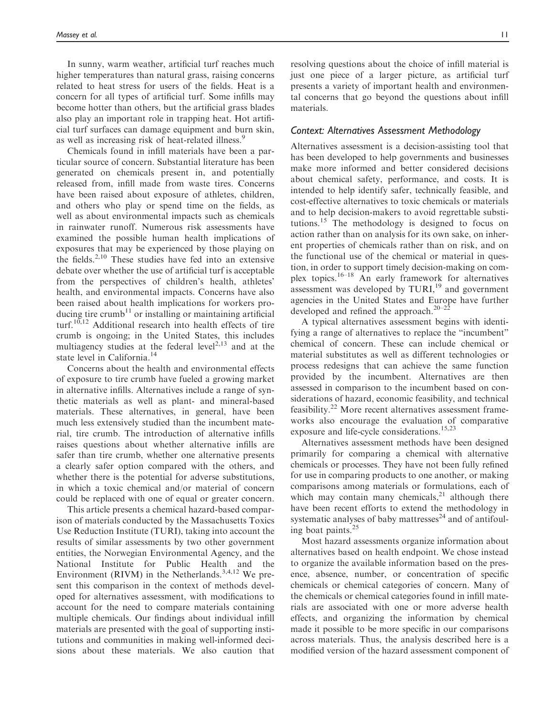In sunny, warm weather, artificial turf reaches much higher temperatures than natural grass, raising concerns related to heat stress for users of the fields. Heat is a concern for all types of artificial turf. Some infills may become hotter than others, but the artificial grass blades also play an important role in trapping heat. Hot artificial turf surfaces can damage equipment and burn skin, as well as increasing risk of heat-related illness.<sup>9</sup>

Chemicals found in infill materials have been a particular source of concern. Substantial literature has been generated on chemicals present in, and potentially released from, infill made from waste tires. Concerns have been raised about exposure of athletes, children, and others who play or spend time on the fields, as well as about environmental impacts such as chemicals in rainwater runoff. Numerous risk assessments have examined the possible human health implications of exposures that may be experienced by those playing on the fields.<sup>2,10</sup> These studies have fed into an extensive debate over whether the use of artificial turf is acceptable from the perspectives of children's health, athletes' health, and environmental impacts. Concerns have also been raised about health implications for workers producing tire crumb<sup>11</sup> or installing or maintaining artificial turf.<sup>10,12</sup> Additional research into health effects of tire crumb is ongoing; in the United States, this includes multiagency studies at the federal level<sup>2,13</sup> and at the state level in California.<sup>14</sup>

Concerns about the health and environmental effects of exposure to tire crumb have fueled a growing market in alternative infills. Alternatives include a range of synthetic materials as well as plant- and mineral-based materials. These alternatives, in general, have been much less extensively studied than the incumbent material, tire crumb. The introduction of alternative infills raises questions about whether alternative infills are safer than tire crumb, whether one alternative presents a clearly safer option compared with the others, and whether there is the potential for adverse substitutions, in which a toxic chemical and/or material of concern could be replaced with one of equal or greater concern.

This article presents a chemical hazard-based comparison of materials conducted by the Massachusetts Toxics Use Reduction Institute (TURI), taking into account the results of similar assessments by two other government entities, the Norwegian Environmental Agency, and the National Institute for Public Health and the Environment (RIVM) in the Netherlands.<sup>3,4,12</sup> We present this comparison in the context of methods developed for alternatives assessment, with modifications to account for the need to compare materials containing multiple chemicals. Our findings about individual infill materials are presented with the goal of supporting institutions and communities in making well-informed decisions about these materials. We also caution that

resolving questions about the choice of infill material is just one piece of a larger picture, as artificial turf presents a variety of important health and environmental concerns that go beyond the questions about infill materials.

### Context: Alternatives Assessment Methodology

Alternatives assessment is a decision-assisting tool that has been developed to help governments and businesses make more informed and better considered decisions about chemical safety, performance, and costs. It is intended to help identify safer, technically feasible, and cost-effective alternatives to toxic chemicals or materials and to help decision-makers to avoid regrettable substitutions.<sup>15</sup> The methodology is designed to focus on action rather than on analysis for its own sake, on inherent properties of chemicals rather than on risk, and on the functional use of the chemical or material in question, in order to support timely decision-making on complex topics.<sup>16–18</sup> An early framework for alternatives assessment was developed by  $TURI<sub>19</sub><sup>19</sup>$  and government agencies in the United States and Europe have further developed and refined the approach.<sup>20–22</sup>

A typical alternatives assessment begins with identifying a range of alternatives to replace the "incumbent" chemical of concern. These can include chemical or material substitutes as well as different technologies or process redesigns that can achieve the same function provided by the incumbent. Alternatives are then assessed in comparison to the incumbent based on considerations of hazard, economic feasibility, and technical feasibility.22 More recent alternatives assessment frameworks also encourage the evaluation of comparative exposure and life-cycle considerations.<sup>15,23</sup>

Alternatives assessment methods have been designed primarily for comparing a chemical with alternative chemicals or processes. They have not been fully refined for use in comparing products to one another, or making comparisons among materials or formulations, each of which may contain many chemicals, $2<sup>1</sup>$  although there have been recent efforts to extend the methodology in systematic analyses of baby mattresses<sup>24</sup> and of antifouling boat paints.<sup>25</sup>

Most hazard assessments organize information about alternatives based on health endpoint. We chose instead to organize the available information based on the presence, absence, number, or concentration of specific chemicals or chemical categories of concern. Many of the chemicals or chemical categories found in infill materials are associated with one or more adverse health effects, and organizing the information by chemical made it possible to be more specific in our comparisons across materials. Thus, the analysis described here is a modified version of the hazard assessment component of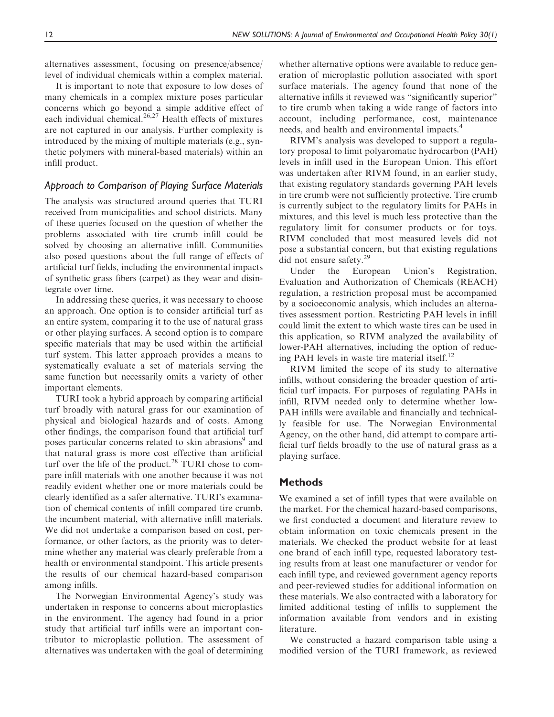alternatives assessment, focusing on presence/absence/ level of individual chemicals within a complex material.

It is important to note that exposure to low doses of many chemicals in a complex mixture poses particular concerns which go beyond a simple additive effect of each individual chemical.<sup>26,27</sup> Health effects of mixtures are not captured in our analysis. Further complexity is introduced by the mixing of multiple materials (e.g., synthetic polymers with mineral-based materials) within an infill product.

### Approach to Comparison of Playing Surface Materials

The analysis was structured around queries that TURI received from municipalities and school districts. Many of these queries focused on the question of whether the problems associated with tire crumb infill could be solved by choosing an alternative infill. Communities also posed questions about the full range of effects of artificial turf fields, including the environmental impacts of synthetic grass fibers (carpet) as they wear and disintegrate over time.

In addressing these queries, it was necessary to choose an approach. One option is to consider artificial turf as an entire system, comparing it to the use of natural grass or other playing surfaces. A second option is to compare specific materials that may be used within the artificial turf system. This latter approach provides a means to systematically evaluate a set of materials serving the same function but necessarily omits a variety of other important elements.

TURI took a hybrid approach by comparing artificial turf broadly with natural grass for our examination of physical and biological hazards and of costs. Among other findings, the comparison found that artificial turf poses particular concerns related to skin abrasions<sup>9</sup> and that natural grass is more cost effective than artificial turf over the life of the product.<sup>28</sup> TURI chose to compare infill materials with one another because it was not readily evident whether one or more materials could be clearly identified as a safer alternative. TURI's examination of chemical contents of infill compared tire crumb, the incumbent material, with alternative infill materials. We did not undertake a comparison based on cost, performance, or other factors, as the priority was to determine whether any material was clearly preferable from a health or environmental standpoint. This article presents the results of our chemical hazard-based comparison among infills.

The Norwegian Environmental Agency's study was undertaken in response to concerns about microplastics in the environment. The agency had found in a prior study that artificial turf infills were an important contributor to microplastic pollution. The assessment of alternatives was undertaken with the goal of determining whether alternative options were available to reduce generation of microplastic pollution associated with sport surface materials. The agency found that none of the alternative infills it reviewed was "significantly superior" to tire crumb when taking a wide range of factors into account, including performance, cost, maintenance needs, and health and environmental impacts.4

RIVM's analysis was developed to support a regulatory proposal to limit polyaromatic hydrocarbon (PAH) levels in infill used in the European Union. This effort was undertaken after RIVM found, in an earlier study, that existing regulatory standards governing PAH levels in tire crumb were not sufficiently protective. Tire crumb is currently subject to the regulatory limits for PAHs in mixtures, and this level is much less protective than the regulatory limit for consumer products or for toys. RIVM concluded that most measured levels did not pose a substantial concern, but that existing regulations did not ensure safety.<sup>29</sup>

Under the European Union's Registration, Evaluation and Authorization of Chemicals (REACH) regulation, a restriction proposal must be accompanied by a socioeconomic analysis, which includes an alternatives assessment portion. Restricting PAH levels in infill could limit the extent to which waste tires can be used in this application, so RIVM analyzed the availability of lower-PAH alternatives, including the option of reducing PAH levels in waste tire material itself.<sup>12</sup>

RIVM limited the scope of its study to alternative infills, without considering the broader question of artificial turf impacts. For purposes of regulating PAHs in infill, RIVM needed only to determine whether low-PAH infills were available and financially and technically feasible for use. The Norwegian Environmental Agency, on the other hand, did attempt to compare artificial turf fields broadly to the use of natural grass as a playing surface.

### Methods

We examined a set of infill types that were available on the market. For the chemical hazard-based comparisons, we first conducted a document and literature review to obtain information on toxic chemicals present in the materials. We checked the product website for at least one brand of each infill type, requested laboratory testing results from at least one manufacturer or vendor for each infill type, and reviewed government agency reports and peer-reviewed studies for additional information on these materials. We also contracted with a laboratory for limited additional testing of infills to supplement the information available from vendors and in existing literature.

We constructed a hazard comparison table using a modified version of the TURI framework, as reviewed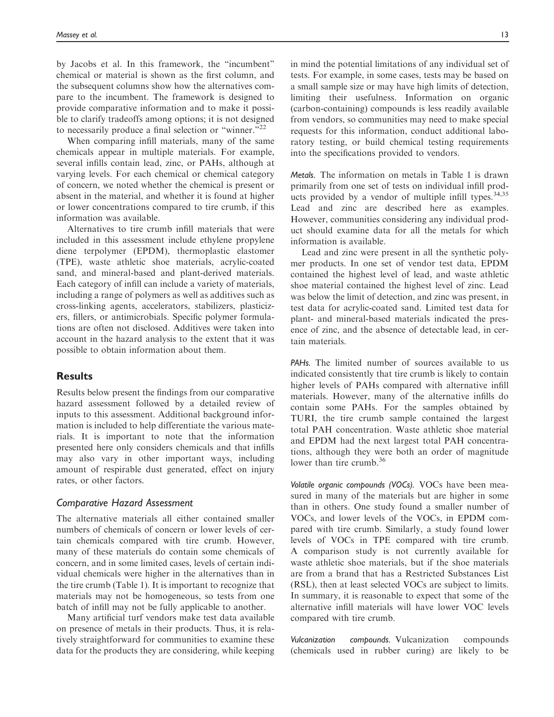by Jacobs et al. In this framework, the "incumbent" chemical or material is shown as the first column, and the subsequent columns show how the alternatives compare to the incumbent. The framework is designed to provide comparative information and to make it possible to clarify tradeoffs among options; it is not designed to necessarily produce a final selection or "winner."<sup>22</sup>

When comparing infill materials, many of the same chemicals appear in multiple materials. For example, several infills contain lead, zinc, or PAHs, although at varying levels. For each chemical or chemical category of concern, we noted whether the chemical is present or absent in the material, and whether it is found at higher or lower concentrations compared to tire crumb, if this information was available.

Alternatives to tire crumb infill materials that were included in this assessment include ethylene propylene diene terpolymer (EPDM), thermoplastic elastomer (TPE), waste athletic shoe materials, acrylic-coated sand, and mineral-based and plant-derived materials. Each category of infill can include a variety of materials, including a range of polymers as well as additives such as cross-linking agents, accelerators, stabilizers, plasticizers, fillers, or antimicrobials. Specific polymer formulations are often not disclosed. Additives were taken into account in the hazard analysis to the extent that it was possible to obtain information about them.

### Results

Results below present the findings from our comparative hazard assessment followed by a detailed review of inputs to this assessment. Additional background information is included to help differentiate the various materials. It is important to note that the information presented here only considers chemicals and that infills may also vary in other important ways, including amount of respirable dust generated, effect on injury rates, or other factors.

### Comparative Hazard Assessment

The alternative materials all either contained smaller numbers of chemicals of concern or lower levels of certain chemicals compared with tire crumb. However, many of these materials do contain some chemicals of concern, and in some limited cases, levels of certain individual chemicals were higher in the alternatives than in the tire crumb (Table 1). It is important to recognize that materials may not be homogeneous, so tests from one batch of infill may not be fully applicable to another.

Many artificial turf vendors make test data available on presence of metals in their products. Thus, it is relatively straightforward for communities to examine these data for the products they are considering, while keeping in mind the potential limitations of any individual set of tests. For example, in some cases, tests may be based on a small sample size or may have high limits of detection, limiting their usefulness. Information on organic (carbon-containing) compounds is less readily available from vendors, so communities may need to make special requests for this information, conduct additional laboratory testing, or build chemical testing requirements into the specifications provided to vendors.

Metals. The information on metals in Table 1 is drawn primarily from one set of tests on individual infill products provided by a vendor of multiple infill types. $34,35$ Lead and zinc are described here as examples. However, communities considering any individual product should examine data for all the metals for which information is available.

Lead and zinc were present in all the synthetic polymer products. In one set of vendor test data, EPDM contained the highest level of lead, and waste athletic shoe material contained the highest level of zinc. Lead was below the limit of detection, and zinc was present, in test data for acrylic-coated sand. Limited test data for plant- and mineral-based materials indicated the presence of zinc, and the absence of detectable lead, in certain materials.

PAHs. The limited number of sources available to us indicated consistently that tire crumb is likely to contain higher levels of PAHs compared with alternative infill materials. However, many of the alternative infills do contain some PAHs. For the samples obtained by TURI, the tire crumb sample contained the largest total PAH concentration. Waste athletic shoe material and EPDM had the next largest total PAH concentrations, although they were both an order of magnitude lower than tire crumb.<sup>36</sup>

Volatile organic compounds (VOCs). VOCs have been measured in many of the materials but are higher in some than in others. One study found a smaller number of VOCs, and lower levels of the VOCs, in EPDM compared with tire crumb. Similarly, a study found lower levels of VOCs in TPE compared with tire crumb. A comparison study is not currently available for waste athletic shoe materials, but if the shoe materials are from a brand that has a Restricted Substances List (RSL), then at least selected VOCs are subject to limits. In summary, it is reasonable to expect that some of the alternative infill materials will have lower VOC levels compared with tire crumb.

Vulcanization compounds. Vulcanization compounds (chemicals used in rubber curing) are likely to be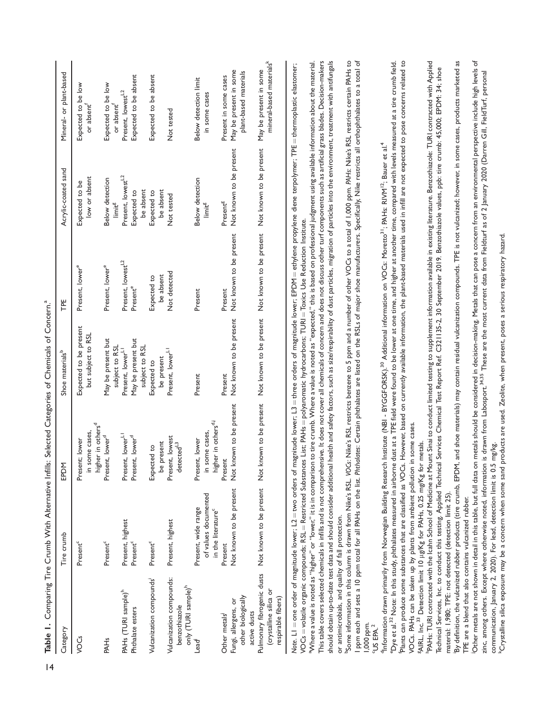| Table I.                                                                                                                                                                                                      | Comparing Tire Crumb With Alternative Infills:                                                                                                                                                                                                  |                                                                   | Selected Categories of Chemicals of Concern. <sup>ª</sup> |                                                                                                                                                                                                                                                                                                                                                                                                                                                                                                                                                                                                                                                                                                                                                                                                                                                                                                                                                                                                                                                                                                                                                                                                                                                                                                                                                                                                                                                                                                                                                                                                                                                                                                                                                                                                                                                                                                                                                                                                                                                                                                                                                                                                                                                                                                                                                                                                                                                                                                                                                                                                                                                                                                                                                                                                                                                                                                                                                                                                                                                                                                                             |                                       |                                                                |
|---------------------------------------------------------------------------------------------------------------------------------------------------------------------------------------------------------------|-------------------------------------------------------------------------------------------------------------------------------------------------------------------------------------------------------------------------------------------------|-------------------------------------------------------------------|-----------------------------------------------------------|-----------------------------------------------------------------------------------------------------------------------------------------------------------------------------------------------------------------------------------------------------------------------------------------------------------------------------------------------------------------------------------------------------------------------------------------------------------------------------------------------------------------------------------------------------------------------------------------------------------------------------------------------------------------------------------------------------------------------------------------------------------------------------------------------------------------------------------------------------------------------------------------------------------------------------------------------------------------------------------------------------------------------------------------------------------------------------------------------------------------------------------------------------------------------------------------------------------------------------------------------------------------------------------------------------------------------------------------------------------------------------------------------------------------------------------------------------------------------------------------------------------------------------------------------------------------------------------------------------------------------------------------------------------------------------------------------------------------------------------------------------------------------------------------------------------------------------------------------------------------------------------------------------------------------------------------------------------------------------------------------------------------------------------------------------------------------------------------------------------------------------------------------------------------------------------------------------------------------------------------------------------------------------------------------------------------------------------------------------------------------------------------------------------------------------------------------------------------------------------------------------------------------------------------------------------------------------------------------------------------------------------------------------------------------------------------------------------------------------------------------------------------------------------------------------------------------------------------------------------------------------------------------------------------------------------------------------------------------------------------------------------------------------------------------------------------------------------------------------------------------------|---------------------------------------|----------------------------------------------------------------|
| Category                                                                                                                                                                                                      | Tire crumb                                                                                                                                                                                                                                      | EPDM                                                              | Shoe materials <sup>b</sup>                               | Ĕ                                                                                                                                                                                                                                                                                                                                                                                                                                                                                                                                                                                                                                                                                                                                                                                                                                                                                                                                                                                                                                                                                                                                                                                                                                                                                                                                                                                                                                                                                                                                                                                                                                                                                                                                                                                                                                                                                                                                                                                                                                                                                                                                                                                                                                                                                                                                                                                                                                                                                                                                                                                                                                                                                                                                                                                                                                                                                                                                                                                                                                                                                                                           | Acrylic-coated sand                   | Mineral- or plant-based                                        |
| VOCS                                                                                                                                                                                                          | Present <sup>c</sup>                                                                                                                                                                                                                            | higher in others <sup>d</sup><br>in some cases,<br>Present; lower | Expected to be present<br>but subject to RSL              | Present, lower <sup>e</sup>                                                                                                                                                                                                                                                                                                                                                                                                                                                                                                                                                                                                                                                                                                                                                                                                                                                                                                                                                                                                                                                                                                                                                                                                                                                                                                                                                                                                                                                                                                                                                                                                                                                                                                                                                                                                                                                                                                                                                                                                                                                                                                                                                                                                                                                                                                                                                                                                                                                                                                                                                                                                                                                                                                                                                                                                                                                                                                                                                                                                                                                                                                 | low or absent<br>Expected to be       | Expected to be low<br>or absent <sup>f</sup>                   |
| PAH <sub>s</sub>                                                                                                                                                                                              | Present <sup>c</sup>                                                                                                                                                                                                                            | Present, lower <sup>d</sup>                                       | May be present but<br>subject to RSL                      | Present, lower <sup>e</sup>                                                                                                                                                                                                                                                                                                                                                                                                                                                                                                                                                                                                                                                                                                                                                                                                                                                                                                                                                                                                                                                                                                                                                                                                                                                                                                                                                                                                                                                                                                                                                                                                                                                                                                                                                                                                                                                                                                                                                                                                                                                                                                                                                                                                                                                                                                                                                                                                                                                                                                                                                                                                                                                                                                                                                                                                                                                                                                                                                                                                                                                                                                 | Below detection<br>limit <sup>g</sup> | Expected to be low<br>or absent <sup>f</sup>                   |
| PAHs (TURI sample) <sup>h</sup>                                                                                                                                                                               | Present, highest                                                                                                                                                                                                                                | Present, lower <sup>LI</sup>                                      | Present, lower <sup>LI</sup>                              | Present, lowest <sup>L2</sup>                                                                                                                                                                                                                                                                                                                                                                                                                                                                                                                                                                                                                                                                                                                                                                                                                                                                                                                                                                                                                                                                                                                                                                                                                                                                                                                                                                                                                                                                                                                                                                                                                                                                                                                                                                                                                                                                                                                                                                                                                                                                                                                                                                                                                                                                                                                                                                                                                                                                                                                                                                                                                                                                                                                                                                                                                                                                                                                                                                                                                                                                                               | Present, lowest <sup>12</sup>         | Present, lowest <sup>L2</sup>                                  |
| Phthalate esters                                                                                                                                                                                              | Present <sup>c</sup>                                                                                                                                                                                                                            | Present, lower <sup>d</sup>                                       | May be present but<br>subject to RSL                      | Presente                                                                                                                                                                                                                                                                                                                                                                                                                                                                                                                                                                                                                                                                                                                                                                                                                                                                                                                                                                                                                                                                                                                                                                                                                                                                                                                                                                                                                                                                                                                                                                                                                                                                                                                                                                                                                                                                                                                                                                                                                                                                                                                                                                                                                                                                                                                                                                                                                                                                                                                                                                                                                                                                                                                                                                                                                                                                                                                                                                                                                                                                                                                    | be absent<br>Expected to              | Expected to be absent                                          |
| Vulcanization compounds                                                                                                                                                                                       | Present <sup>c</sup>                                                                                                                                                                                                                            | Expected to                                                       | Expected to                                               | Expected to                                                                                                                                                                                                                                                                                                                                                                                                                                                                                                                                                                                                                                                                                                                                                                                                                                                                                                                                                                                                                                                                                                                                                                                                                                                                                                                                                                                                                                                                                                                                                                                                                                                                                                                                                                                                                                                                                                                                                                                                                                                                                                                                                                                                                                                                                                                                                                                                                                                                                                                                                                                                                                                                                                                                                                                                                                                                                                                                                                                                                                                                                                                 | Expected to                           | Expected to be absent                                          |
|                                                                                                                                                                                                               |                                                                                                                                                                                                                                                 | be present                                                        | be present                                                | be absent                                                                                                                                                                                                                                                                                                                                                                                                                                                                                                                                                                                                                                                                                                                                                                                                                                                                                                                                                                                                                                                                                                                                                                                                                                                                                                                                                                                                                                                                                                                                                                                                                                                                                                                                                                                                                                                                                                                                                                                                                                                                                                                                                                                                                                                                                                                                                                                                                                                                                                                                                                                                                                                                                                                                                                                                                                                                                                                                                                                                                                                                                                                   | be absent                             |                                                                |
| Vulcanization compounds:<br>only (TURI sample) <sup>h</sup><br>benzothiazole                                                                                                                                  | Present, highest                                                                                                                                                                                                                                | Present, lowest<br>$\rm detected^{L3}$                            | Present, lower <sup>LI</sup>                              | Not detected                                                                                                                                                                                                                                                                                                                                                                                                                                                                                                                                                                                                                                                                                                                                                                                                                                                                                                                                                                                                                                                                                                                                                                                                                                                                                                                                                                                                                                                                                                                                                                                                                                                                                                                                                                                                                                                                                                                                                                                                                                                                                                                                                                                                                                                                                                                                                                                                                                                                                                                                                                                                                                                                                                                                                                                                                                                                                                                                                                                                                                                                                                                | Not tested                            | Not tested                                                     |
| Lead <sup>1</sup>                                                                                                                                                                                             | Present, wide range                                                                                                                                                                                                                             | Present, lower                                                    | Present                                                   | Present                                                                                                                                                                                                                                                                                                                                                                                                                                                                                                                                                                                                                                                                                                                                                                                                                                                                                                                                                                                                                                                                                                                                                                                                                                                                                                                                                                                                                                                                                                                                                                                                                                                                                                                                                                                                                                                                                                                                                                                                                                                                                                                                                                                                                                                                                                                                                                                                                                                                                                                                                                                                                                                                                                                                                                                                                                                                                                                                                                                                                                                                                                                     | Below detection                       | Below detection limit                                          |
|                                                                                                                                                                                                               | of values documented<br>in the literature <sup>c</sup>                                                                                                                                                                                          | higher in others <sup>d,j</sup><br>in some cases,                 |                                                           |                                                                                                                                                                                                                                                                                                                                                                                                                                                                                                                                                                                                                                                                                                                                                                                                                                                                                                                                                                                                                                                                                                                                                                                                                                                                                                                                                                                                                                                                                                                                                                                                                                                                                                                                                                                                                                                                                                                                                                                                                                                                                                                                                                                                                                                                                                                                                                                                                                                                                                                                                                                                                                                                                                                                                                                                                                                                                                                                                                                                                                                                                                                             | limit <sup>g</sup>                    | in some cases                                                  |
| Other metals                                                                                                                                                                                                  | Present                                                                                                                                                                                                                                         | Present                                                           | Present                                                   | Present                                                                                                                                                                                                                                                                                                                                                                                                                                                                                                                                                                                                                                                                                                                                                                                                                                                                                                                                                                                                                                                                                                                                                                                                                                                                                                                                                                                                                                                                                                                                                                                                                                                                                                                                                                                                                                                                                                                                                                                                                                                                                                                                                                                                                                                                                                                                                                                                                                                                                                                                                                                                                                                                                                                                                                                                                                                                                                                                                                                                                                                                                                                     | Present <sup>g</sup>                  | Present in some cases                                          |
| other biologically<br>Fungi, allergens, or<br>active dusts                                                                                                                                                    | Not known to be present                                                                                                                                                                                                                         | Not known to be present                                           | Not known to be present                                   | Not known to be present                                                                                                                                                                                                                                                                                                                                                                                                                                                                                                                                                                                                                                                                                                                                                                                                                                                                                                                                                                                                                                                                                                                                                                                                                                                                                                                                                                                                                                                                                                                                                                                                                                                                                                                                                                                                                                                                                                                                                                                                                                                                                                                                                                                                                                                                                                                                                                                                                                                                                                                                                                                                                                                                                                                                                                                                                                                                                                                                                                                                                                                                                                     | Not known to be present               | May be present in some<br>plant-based materials                |
| Pulmonary fibrogenic dusts<br>(crystalline silica or<br>respirable fibers)                                                                                                                                    | Not known to be present                                                                                                                                                                                                                         | Not known to be present                                           | Not known to be present                                   | Not known to be present                                                                                                                                                                                                                                                                                                                                                                                                                                                                                                                                                                                                                                                                                                                                                                                                                                                                                                                                                                                                                                                                                                                                                                                                                                                                                                                                                                                                                                                                                                                                                                                                                                                                                                                                                                                                                                                                                                                                                                                                                                                                                                                                                                                                                                                                                                                                                                                                                                                                                                                                                                                                                                                                                                                                                                                                                                                                                                                                                                                                                                                                                                     | Not known to be present               | mineral-based materials <sup>k</sup><br>May be present in some |
| material: 1,980; TPE: not detected (detection limit 25)<br>TPE are a blend that also contains vulcanized rubber.<br>or antimicrobials, and quality of fall protection.<br>1,000 ppm.<br>"US EPA. <sup>2</sup> | VOCs. PAHs can be taken up by plants from ambient pollution in some cases.<br><sup>8</sup> AIRL, Inc. <sup>33</sup> Detection limit 10 µg/Kg for PAHs, 0.25 mg/Kg for metals.<br>VOCs = volatile organic compounds; RSL = Restricted Substances |                                                                   |                                                           | "PAHs: TURI contracted with the Icahn School of Medicine at Mount Sinai to conduct limited testing to supplement information available in existing literature. Benzothiazole: TURI contracted with Applied<br>This table covers selected chemicals in infills and is not comprehensive. It does not cover all chemicals of concern and does not discuss other turf components such as artificial grass blades. Decision-makers<br>should obtain up-to-date test data and should consider additional health and safety factors, such as size/respirability of dust particles, migration of particles into the environment, treatment with antifungals<br>Some information in this column is drawn from Nike's RSL. VOCs: Nike's RSL restricts benzene to 5 ppm and a number of other VOCs to a total of 1,000 ppm. PAHs: Nike's RSL restricts certain PAHs to<br>I ppm each and sets a 10 ppm total for all PAHs on the list. Phthdres: Certain phthalates are listed on the RSLs of major shoe manufacturers. Specifically, Nike restricts all orthophthalates to a total of<br>Plants can produce some substances that are classified as VOCs. However, based on currently available information, the plant-based materials used in infill are not expected to pose concerns related to<br>Other metals are not shown in detail in this table, but full data on metals should be considered in decision-making. Metals that can pose a concern from an environmental perspective include high levels of<br>By definition, the vulcanized rubber products (tire crumb, EPDM, and shoe materials) may contain residual vulcanization compounds. TPE is not vulcanized; however, in some cases, products marketed as<br>"Where a value is noted as "higher" or "lower," it is in comparison to tire crumb. Where a value is noted as "expected," this is based on professional judgment using available information about the material.<br><sup>e</sup> Dye et al. <sup>32</sup> Note: In this study, phthalates measured in airborne dust at a TPE field were found to be lower at one time, and higher at another time, compared with levels measured at a tire crumb field.<br>Note. LI = one order of magnitude lower; L2 = two orders of magnitude lower; L3 = three orders of magnitude lower; EPDM = ethylene propylene diene terpolymer; TPE = thermoplastic elastomer;<br>Technical Services, Inc. to conduct this testing. Applied Technical Services Chemical Test Report Ref. C321135-2, 30 September 2019. Benzothiazole values, ppt: tire crumb: 45,000; EPDM: 34; shoe<br>zinc, among others. Except where otherwise noted, information is drawn from Labosport. <sup>34,35</sup> These are the most current data from Fieldturf as of 2 January 2020 (Darren Gill, FieldTurf, personal<br><sup>d</sup> Information drawn primarily from Norwegian Building Research Institute (NBI - BYGGFORSK). <sup>30</sup> Additional information on VOCs: Moretto <sup>31</sup> ; PAHs: RIVM <sup>12</sup> ; Bauer et al. <sup>4</sup><br>List; PAHs = polyaromatic hydrocarbons; TURI = Toxics Use Reduction Institute. |                                       |                                                                |
|                                                                                                                                                                                                               | <sup>k</sup> Crystalline silica exposure may be a concern when some sand products are used. Zeolite, when present, poses a serious respiratory hazard.<br>communication, January 2, 2020). For lead, detection limit is 0.5 mg/kg.              |                                                                   |                                                           |                                                                                                                                                                                                                                                                                                                                                                                                                                                                                                                                                                                                                                                                                                                                                                                                                                                                                                                                                                                                                                                                                                                                                                                                                                                                                                                                                                                                                                                                                                                                                                                                                                                                                                                                                                                                                                                                                                                                                                                                                                                                                                                                                                                                                                                                                                                                                                                                                                                                                                                                                                                                                                                                                                                                                                                                                                                                                                                                                                                                                                                                                                                             |                                       |                                                                |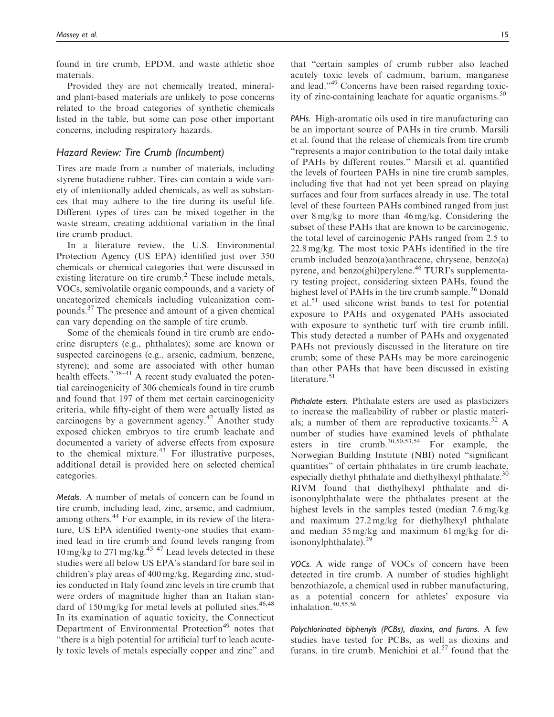found in tire crumb, EPDM, and waste athletic shoe materials.

Provided they are not chemically treated, mineraland plant-based materials are unlikely to pose concerns related to the broad categories of synthetic chemicals listed in the table, but some can pose other important concerns, including respiratory hazards.

### Hazard Review: Tire Crumb (Incumbent)

Tires are made from a number of materials, including styrene butadiene rubber. Tires can contain a wide variety of intentionally added chemicals, as well as substances that may adhere to the tire during its useful life. Different types of tires can be mixed together in the waste stream, creating additional variation in the final tire crumb product.

In a literature review, the U.S. Environmental Protection Agency (US EPA) identified just over 350 chemicals or chemical categories that were discussed in existing literature on tire crumb.<sup>2</sup> These include metals, VOCs, semivolatile organic compounds, and a variety of uncategorized chemicals including vulcanization compounds.<sup>37</sup> The presence and amount of a given chemical can vary depending on the sample of tire crumb.

Some of the chemicals found in tire crumb are endocrine disrupters (e.g., phthalates); some are known or suspected carcinogens (e.g., arsenic, cadmium, benzene, styrene); and some are associated with other human health effects.<sup>2,38–41</sup> A recent study evaluated the potential carcinogenicity of 306 chemicals found in tire crumb and found that 197 of them met certain carcinogenicity criteria, while fifty-eight of them were actually listed as carcinogens by a government agency.<sup>42</sup> Another study exposed chicken embryos to tire crumb leachate and documented a variety of adverse effects from exposure to the chemical mixture. $43$  For illustrative purposes, additional detail is provided here on selected chemical categories.

Metals. A number of metals of concern can be found in tire crumb, including lead, zinc, arsenic, and cadmium, among others.<sup>44</sup> For example, in its review of the literature, US EPA identified twenty-one studies that examined lead in tire crumb and found levels ranging from  $10 \text{ mg/kg}$  to  $271 \text{ mg/kg}$ .<sup>45-47</sup> Lead levels detected in these studies were all below US EPA's standard for bare soil in children's play areas of 400 mg/kg. Regarding zinc, studies conducted in Italy found zinc levels in tire crumb that were orders of magnitude higher than an Italian standard of  $150 \text{ mg/kg}$  for metal levels at polluted sites.<sup>46,48</sup> In its examination of aquatic toxicity, the Connecticut Department of Environmental Protection<sup>49</sup> notes that "there is a high potential for artificial turf to leach acutely toxic levels of metals especially copper and zinc" and

that "certain samples of crumb rubber also leached acutely toxic levels of cadmium, barium, manganese and lead."<sup>49</sup> Concerns have been raised regarding toxicity of zinc-containing leachate for aquatic organisms.<sup>50</sup>

PAHs. High-aromatic oils used in tire manufacturing can be an important source of PAHs in tire crumb. Marsili et al. found that the release of chemicals from tire crumb "represents a major contribution to the total daily intake of PAHs by different routes." Marsili et al. quantified the levels of fourteen PAHs in nine tire crumb samples, including five that had not yet been spread on playing surfaces and four from surfaces already in use. The total level of these fourteen PAHs combined ranged from just over 8 mg/kg to more than 46 mg/kg. Considering the subset of these PAHs that are known to be carcinogenic, the total level of carcinogenic PAHs ranged from 2.5 to 22.8 mg/kg. The most toxic PAHs identified in the tire crumb included benzo(a)anthracene, chrysene, benzo(a) pyrene, and benzo(ghi)perylene.<sup>46</sup> TURI's supplementary testing project, considering sixteen PAHs, found the highest level of PAHs in the tire crumb sample.<sup>36</sup> Donald et al.<sup>51</sup> used silicone wrist bands to test for potential exposure to PAHs and oxygenated PAHs associated with exposure to synthetic turf with tire crumb infill. This study detected a number of PAHs and oxygenated PAHs not previously discussed in the literature on tire crumb; some of these PAHs may be more carcinogenic than other PAHs that have been discussed in existing literature.<sup>51</sup>

Phthalate esters. Phthalate esters are used as plasticizers to increase the malleability of rubber or plastic materials; a number of them are reproductive toxicants.<sup>52</sup> A number of studies have examined levels of phthalate esters in tire crumb. $30,50,53,54$  For example, the Norwegian Building Institute (NBI) noted "significant quantities" of certain phthalates in tire crumb leachate, especially diethyl phthalate and diethylhexyl phthalate.<sup>30</sup> RIVM found that diethylhexyl phthalate and diisononylphthalate were the phthalates present at the highest levels in the samples tested (median 7.6 mg/kg and maximum 27.2 mg/kg for diethylhexyl phthalate and median 35 mg/kg and maximum 61 mg/kg for diisononylphthalate).<sup>29</sup>

VOCs. A wide range of VOCs of concern have been detected in tire crumb. A number of studies highlight benzothiazole, a chemical used in rubber manufacturing, as a potential concern for athletes' exposure via inhalation.40,55,56

Polychlorinated biphenyls (PCBs), dioxins, and furans. A few studies have tested for PCBs, as well as dioxins and furans, in tire crumb. Menichini et al.<sup>57</sup> found that the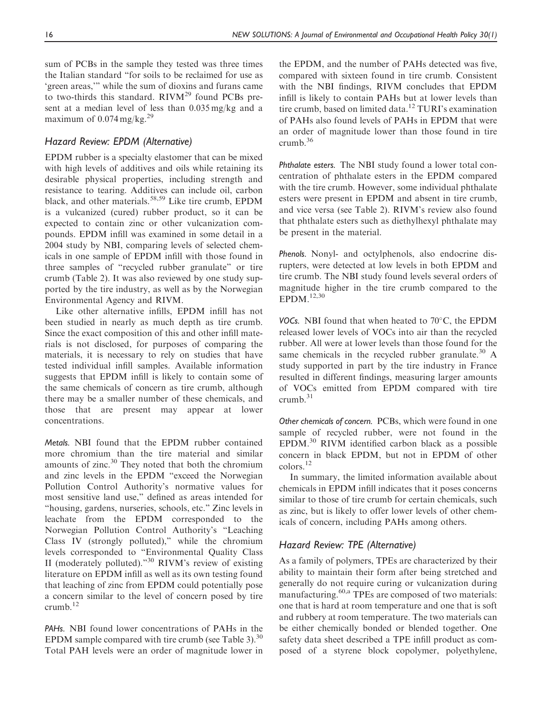sum of PCBs in the sample they tested was three times the Italian standard "for soils to be reclaimed for use as 'green areas,'" while the sum of dioxins and furans came to two-thirds this standard.  $RIVM<sup>29</sup>$  found PCBs present at a median level of less than 0.035 mg/kg and a maximum of  $0.074$  mg/kg.<sup>29</sup>

### Hazard Review: EPDM (Alternative)

EPDM rubber is a specialty elastomer that can be mixed with high levels of additives and oils while retaining its desirable physical properties, including strength and resistance to tearing. Additives can include oil, carbon black, and other materials.<sup>58,59</sup> Like tire crumb, EPDM is a vulcanized (cured) rubber product, so it can be expected to contain zinc or other vulcanization compounds. EPDM infill was examined in some detail in a 2004 study by NBI, comparing levels of selected chemicals in one sample of EPDM infill with those found in three samples of "recycled rubber granulate" or tire crumb (Table 2). It was also reviewed by one study supported by the tire industry, as well as by the Norwegian Environmental Agency and RIVM.

Like other alternative infills, EPDM infill has not been studied in nearly as much depth as tire crumb. Since the exact composition of this and other infill materials is not disclosed, for purposes of comparing the materials, it is necessary to rely on studies that have tested individual infill samples. Available information suggests that EPDM infill is likely to contain some of the same chemicals of concern as tire crumb, although there may be a smaller number of these chemicals, and those that are present may appear at lower concentrations.

Metals. NBI found that the EPDM rubber contained more chromium than the tire material and similar amounts of zinc.<sup>30</sup> They noted that both the chromium and zinc levels in the EPDM "exceed the Norwegian Pollution Control Authority's normative values for most sensitive land use," defined as areas intended for "housing, gardens, nurseries, schools, etc." Zinc levels in leachate from the EPDM corresponded to the Norwegian Pollution Control Authority's "Leaching Class IV (strongly polluted)," while the chromium levels corresponded to "Environmental Quality Class II (moderately polluted)."<sup>30</sup> RIVM's review of existing literature on EPDM infill as well as its own testing found that leaching of zinc from EPDM could potentially pose a concern similar to the level of concern posed by tire crumb.<sup>12</sup>

PAHs. NBI found lower concentrations of PAHs in the EPDM sample compared with tire crumb (see Table 3). $30$ Total PAH levels were an order of magnitude lower in the EPDM, and the number of PAHs detected was five, compared with sixteen found in tire crumb. Consistent with the NBI findings, RIVM concludes that EPDM infill is likely to contain PAHs but at lower levels than tire crumb, based on limited data.<sup>12</sup> TURI's examination of PAHs also found levels of PAHs in EPDM that were an order of magnitude lower than those found in tire crumb. $36$ 

Phthalate esters. The NBI study found a lower total concentration of phthalate esters in the EPDM compared with the tire crumb. However, some individual phthalate esters were present in EPDM and absent in tire crumb, and vice versa (see Table 2). RIVM's review also found that phthalate esters such as diethylhexyl phthalate may be present in the material.

Phenols. Nonyl- and octylphenols, also endocrine disrupters, were detected at low levels in both EPDM and tire crumb. The NBI study found levels several orders of magnitude higher in the tire crumb compared to the EPDM.12,30

VOCs. NBI found that when heated to  $70^{\circ}$ C, the EPDM released lower levels of VOCs into air than the recycled rubber. All were at lower levels than those found for the same chemicals in the recycled rubber granulate.<sup>30</sup> A study supported in part by the tire industry in France resulted in different findings, measuring larger amounts of VOCs emitted from EPDM compared with tire crumb. $31$ 

Other chemicals of concern. PCBs, which were found in one sample of recycled rubber, were not found in the EPDM. $30$  RIVM identified carbon black as a possible concern in black EPDM, but not in EPDM of other colors.<sup>12</sup>

In summary, the limited information available about chemicals in EPDM infill indicates that it poses concerns similar to those of tire crumb for certain chemicals, such as zinc, but is likely to offer lower levels of other chemicals of concern, including PAHs among others.

### Hazard Review: TPE (Alternative)

As a family of polymers, TPEs are characterized by their ability to maintain their form after being stretched and generally do not require curing or vulcanization during manufacturing.<sup>60,a</sup> TPEs are composed of two materials: one that is hard at room temperature and one that is soft and rubbery at room temperature. The two materials can be either chemically bonded or blended together. One safety data sheet described a TPE infill product as composed of a styrene block copolymer, polyethylene,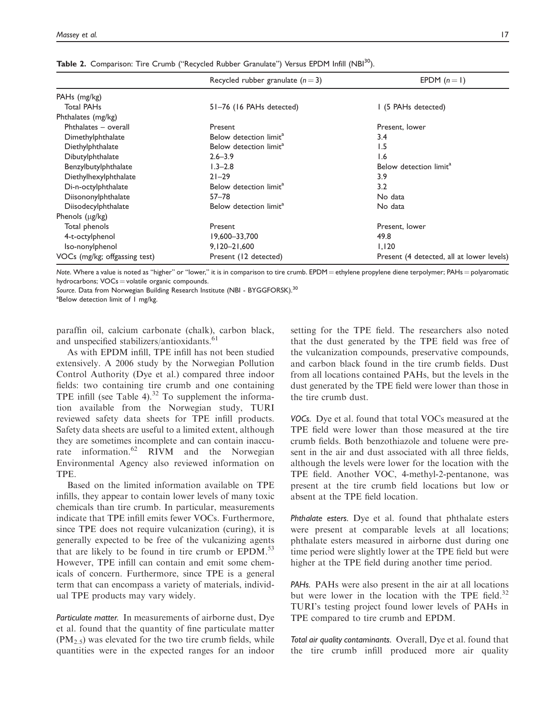|                               | Recycled rubber granulate $(n=3)$  | EPDM $(n=1)$                              |
|-------------------------------|------------------------------------|-------------------------------------------|
| PAHs (mg/kg)                  |                                    |                                           |
| Total PAHs                    | 51-76 (16 PAHs detected)           | I (5 PAHs detected)                       |
| Phthalates (mg/kg)            |                                    |                                           |
| Phthalates - overall          | Present                            | Present, lower                            |
| Dimethylphthalate             | Below detection limit <sup>a</sup> | 3.4                                       |
| Diethylphthalate              | Below detection limit <sup>a</sup> | 1.5                                       |
| Dibutylphthalate              | $2.6 - 3.9$                        | 1.6                                       |
| Benzylbutylphthalate          | $1.3 - 2.8$                        | Below detection limit <sup>a</sup>        |
| Diethylhexylphthalate         | $21 - 29$                          | 3.9                                       |
| Di-n-octylphthalate           | Below detection limit <sup>a</sup> | 3.2                                       |
| Diisononylphthalate           | $57 - 78$                          | No data                                   |
| Diisodecylphthalate           | Below detection limit <sup>a</sup> | No data                                   |
| Phenols $(\mu g/kg)$          |                                    |                                           |
| Total phenols                 | Present                            | Present, lower                            |
| 4-t-octylphenol               | 19,600-33,700                      | 49.8                                      |
| Iso-nonylphenol               | $9,120 - 21,600$                   | 1.120                                     |
| VOCs (mg/kg; offgassing test) | Present (12 detected)              | Present (4 detected, all at lower levels) |

| Table 2. Comparison: Tire Crumb ("Recycled Rubber Granulate") Versus EPDM Infill (NBI <sup>30</sup> ). |  |  |
|--------------------------------------------------------------------------------------------------------|--|--|
|--------------------------------------------------------------------------------------------------------|--|--|

Note. Where a value is noted as "higher" or "lower," it is in comparison to tire crumb. EPDM = ethylene propylene diene terpolymer; PAHs = polyaromatic hydrocarbons;  $VOCs =$  volatile organic compounds.

Source. Data from Norwegian Building Research Institute (NBI - BYGGFORSK).<sup>30</sup>

<sup>a</sup>Below detection limit of I mg/kg.

paraffin oil, calcium carbonate (chalk), carbon black, and unspecified stabilizers/antioxidants.<sup>61</sup>

As with EPDM infill, TPE infill has not been studied extensively. A 2006 study by the Norwegian Pollution Control Authority (Dye et al.) compared three indoor fields: two containing tire crumb and one containing TPE infill (see Table 4). $32$  To supplement the information available from the Norwegian study, TURI reviewed safety data sheets for TPE infill products. Safety data sheets are useful to a limited extent, although they are sometimes incomplete and can contain inaccurate information.<sup>62</sup> RIVM and the Norwegian Environmental Agency also reviewed information on TPE.

Based on the limited information available on TPE infills, they appear to contain lower levels of many toxic chemicals than tire crumb. In particular, measurements indicate that TPE infill emits fewer VOCs. Furthermore, since TPE does not require vulcanization (curing), it is generally expected to be free of the vulcanizing agents that are likely to be found in tire crumb or  $EPDM.<sup>53</sup>$ However, TPE infill can contain and emit some chemicals of concern. Furthermore, since TPE is a general term that can encompass a variety of materials, individual TPE products may vary widely.

Particulate matter. In measurements of airborne dust, Dye et al. found that the quantity of fine particulate matter  $(PM<sub>2.5</sub>)$  was elevated for the two tire crumb fields, while quantities were in the expected ranges for an indoor setting for the TPE field. The researchers also noted that the dust generated by the TPE field was free of the vulcanization compounds, preservative compounds, and carbon black found in the tire crumb fields. Dust from all locations contained PAHs, but the levels in the dust generated by the TPE field were lower than those in the tire crumb dust.

VOCs. Dye et al. found that total VOCs measured at the TPE field were lower than those measured at the tire crumb fields. Both benzothiazole and toluene were present in the air and dust associated with all three fields, although the levels were lower for the location with the TPE field. Another VOC, 4-methyl-2-pentanone, was present at the tire crumb field locations but low or absent at the TPE field location.

Phthalate esters. Dye et al. found that phthalate esters were present at comparable levels at all locations; phthalate esters measured in airborne dust during one time period were slightly lower at the TPE field but were higher at the TPE field during another time period.

PAHs. PAHs were also present in the air at all locations but were lower in the location with the TPE field. $32$ TURI's testing project found lower levels of PAHs in TPE compared to tire crumb and EPDM.

Total air quality contaminants. Overall, Dye et al. found that the tire crumb infill produced more air quality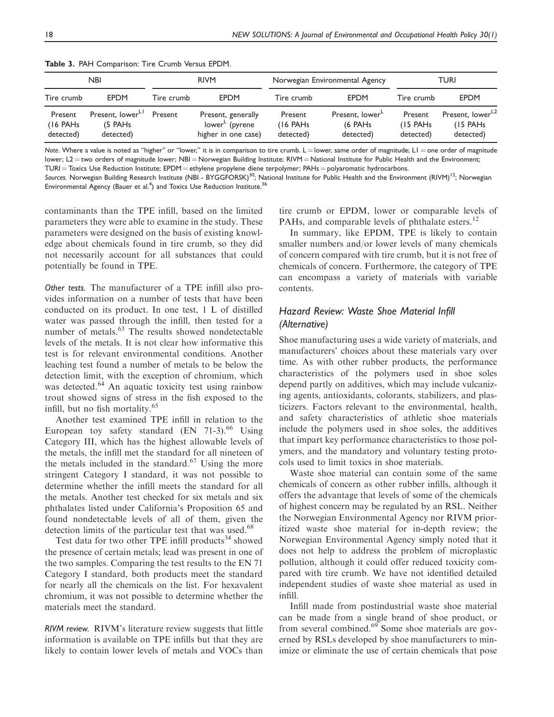|                                    | NBI                                                  |            | <b>RIVM</b>                                                             |                                   | Norwegian Environmental Agency                                  |                                    | TURI                                                    |
|------------------------------------|------------------------------------------------------|------------|-------------------------------------------------------------------------|-----------------------------------|-----------------------------------------------------------------|------------------------------------|---------------------------------------------------------|
| Tire crumb                         | EPDM                                                 | Tire crumb | <b>EPDM</b>                                                             | Tire crumb                        | EPDM                                                            | Tire crumb                         | <b>EPDM</b>                                             |
| Present<br>$(16$ PAHs<br>detected) | Present, lowerLI<br>(5 PAH <sub>s</sub><br>detected) | Present    | Present, generally<br>lower <sup>L</sup> (pyrene<br>higher in one case) | Present<br>(16 PAHs)<br>detected) | Present, lower <sup>L</sup><br>(6 PAH <sub>s</sub><br>detected) | Present<br>$(15$ PAHs<br>detected) | Present, lower <sup>L2</sup><br>$(15$ PAHs<br>detected) |

Table 3. PAH Comparison: Tire Crumb Versus EPDM.

Note. Where a value is noted as "higher" or "lower," it is in comparison to tire crumb.  $L =$  lower, same order of magnitude;  $LI =$  one order of magnitude lower; L2 = two orders of magnitude lower; NBI = Norwegian Building Institute; RIVM = National Institute for Public Health and the Environment; TURI = Toxics Use Reduction Institute; EPDM = ethylene propylene diene terpolymer; PAHs = polyaromatic hydrocarbons.

Sources. Norwegian Building Research Institute (NBI - BYGGFORSK)<sup>30</sup>; National Institute for Public Health and the Environment (RIVM)<sup>12</sup>; Norwegian Environmental Agency (Bauer et al.<sup>4</sup>) and Toxics Use Reduction Institute.<sup>36</sup>

contaminants than the TPE infill, based on the limited parameters they were able to examine in the study. These parameters were designed on the basis of existing knowledge about chemicals found in tire crumb, so they did not necessarily account for all substances that could potentially be found in TPE.

Other tests. The manufacturer of a TPE infill also provides information on a number of tests that have been conducted on its product. In one test, 1 L of distilled water was passed through the infill, then tested for a number of metals.<sup>63</sup> The results showed nondetectable levels of the metals. It is not clear how informative this test is for relevant environmental conditions. Another leaching test found a number of metals to be below the detection limit, with the exception of chromium, which was detected.<sup>64</sup> An aquatic toxicity test using rainbow trout showed signs of stress in the fish exposed to the infill, but no fish mortality.<sup>65</sup>

Another test examined TPE infill in relation to the European toy safety standard  $(EN 71-3).<sup>66</sup>$  Using Category III, which has the highest allowable levels of the metals, the infill met the standard for all nineteen of the metals included in the standard. $67$  Using the more stringent Category I standard, it was not possible to determine whether the infill meets the standard for all the metals. Another test checked for six metals and six phthalates listed under California's Proposition 65 and found nondetectable levels of all of them, given the detection limits of the particular test that was used.<sup>68</sup>

Test data for two other TPE infill products $34$  showed the presence of certain metals; lead was present in one of the two samples. Comparing the test results to the EN 71 Category I standard, both products meet the standard for nearly all the chemicals on the list. For hexavalent chromium, it was not possible to determine whether the materials meet the standard.

RIVM review. RIVM's literature review suggests that little information is available on TPE infills but that they are likely to contain lower levels of metals and VOCs than tire crumb or EPDM, lower or comparable levels of PAHs, and comparable levels of phthalate esters.<sup>12</sup>

In summary, like EPDM, TPE is likely to contain smaller numbers and/or lower levels of many chemicals of concern compared with tire crumb, but it is not free of chemicals of concern. Furthermore, the category of TPE can encompass a variety of materials with variable contents.

### Hazard Review: Waste Shoe Material Infill (Alternative)

Shoe manufacturing uses a wide variety of materials, and manufacturers' choices about these materials vary over time. As with other rubber products, the performance characteristics of the polymers used in shoe soles depend partly on additives, which may include vulcanizing agents, antioxidants, colorants, stabilizers, and plasticizers. Factors relevant to the environmental, health, and safety characteristics of athletic shoe materials include the polymers used in shoe soles, the additives that impart key performance characteristics to those polymers, and the mandatory and voluntary testing protocols used to limit toxics in shoe materials.

Waste shoe material can contain some of the same chemicals of concern as other rubber infills, although it offers the advantage that levels of some of the chemicals of highest concern may be regulated by an RSL. Neither the Norwegian Environmental Agency nor RIVM prioritized waste shoe material for in-depth review; the Norwegian Environmental Agency simply noted that it does not help to address the problem of microplastic pollution, although it could offer reduced toxicity compared with tire crumb. We have not identified detailed independent studies of waste shoe material as used in infill.

Infill made from postindustrial waste shoe material can be made from a single brand of shoe product, or from several combined.<sup>69</sup> Some shoe materials are governed by RSLs developed by shoe manufacturers to minimize or eliminate the use of certain chemicals that pose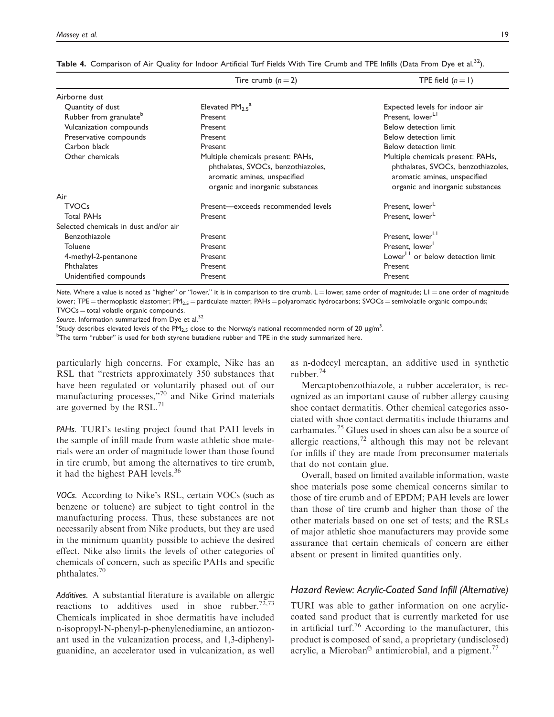|                                       | Tire crumb $(n=2)$                                                                                                                          | TPE field $(n=1)$                                                                                                                           |
|---------------------------------------|---------------------------------------------------------------------------------------------------------------------------------------------|---------------------------------------------------------------------------------------------------------------------------------------------|
| Airborne dust                         |                                                                                                                                             |                                                                                                                                             |
| Quantity of dust                      | Elevated $PM_{2.5}$ <sup>a</sup>                                                                                                            | Expected levels for indoor air                                                                                                              |
| Rubber from granulate <sup>b</sup>    | Present                                                                                                                                     | Present, lowerLI                                                                                                                            |
| Vulcanization compounds               | Present                                                                                                                                     | <b>Below detection limit</b>                                                                                                                |
| Preservative compounds                | Present                                                                                                                                     | <b>Below detection limit</b>                                                                                                                |
| Carbon black                          | Present                                                                                                                                     | <b>Below detection limit</b>                                                                                                                |
| Other chemicals                       | Multiple chemicals present: PAHs,<br>phthalates, SVOCs, benzothiazoles,<br>aromatic amines, unspecified<br>organic and inorganic substances | Multiple chemicals present: PAHs,<br>phthalates, SVOCs, benzothiazoles,<br>aromatic amines, unspecified<br>organic and inorganic substances |
| Air                                   |                                                                                                                                             |                                                                                                                                             |
| <b>TVOCs</b>                          | Present-exceeds recommended levels                                                                                                          | Present, lower <sup>L</sup>                                                                                                                 |
| <b>Total PAHs</b>                     | Present                                                                                                                                     | Present, lower <sup>L</sup>                                                                                                                 |
| Selected chemicals in dust and/or air |                                                                                                                                             |                                                                                                                                             |
| Benzothiazole                         | Present                                                                                                                                     | Present, lowerL                                                                                                                             |
| Toluene                               | Present                                                                                                                                     | Present, lowerL                                                                                                                             |
| 4-methyl-2-pentanone                  | Present                                                                                                                                     | Lower <sup>LI</sup> or below detection limit                                                                                                |
| Phthalates                            | Present                                                                                                                                     | Present                                                                                                                                     |
| Unidentified compounds                | Present                                                                                                                                     | Present                                                                                                                                     |

Table 4. Comparison of Air Quality for Indoor Artificial Turf Fields With Tire Crumb and TPE Infills (Data From Dye et al.<sup>32</sup>).

Note. Where a value is noted as "higher" or "lower," it is in comparison to tire crumb.  $L =$  lower, same order of magnitude;  $LI =$  one order of magnitude lower; TPE = thermoplastic elastomer; PM<sub>2.5</sub> = particulate matter; PAHs = polyaromatic hydrocarbons; SVOCs = semivolatile organic compounds;  $TVOCs = total$  volatile organic compounds.

Source. Information summarized from Dye et al.<sup>32</sup>

 $^{\circ}$ Study describes elevated levels of the PM<sub>2.5</sub> close to the Norway's national recommended norm of 20  $\mu$ g/m<sup>3</sup>.<br><sup>b</sup>The term ''rubber'' is used for both styrene butadiene rubber and TPE in the study summarized bere

<sup>b</sup>The term "rubber" is used for both styrene butadiene rubber and TPE in the study summarized here.

particularly high concerns. For example, Nike has an RSL that "restricts approximately 350 substances that have been regulated or voluntarily phased out of our manufacturing processes,"<sup>70</sup> and Nike Grind materials are governed by the  $RSL<sup>71</sup>$ 

PAHs. TURI's testing project found that PAH levels in the sample of infill made from waste athletic shoe materials were an order of magnitude lower than those found in tire crumb, but among the alternatives to tire crumb, it had the highest PAH levels.<sup>36</sup>

VOCs. According to Nike's RSL, certain VOCs (such as benzene or toluene) are subject to tight control in the manufacturing process. Thus, these substances are not necessarily absent from Nike products, but they are used in the minimum quantity possible to achieve the desired effect. Nike also limits the levels of other categories of chemicals of concern, such as specific PAHs and specific phthalates.<sup>70</sup>

Additives. A substantial literature is available on allergic reactions to additives used in shoe rubber.<sup>72,73</sup> Chemicals implicated in shoe dermatitis have included n-isopropyl-N-phenyl-p-phenylenediamine, an antiozonant used in the vulcanization process, and 1,3-diphenylguanidine, an accelerator used in vulcanization, as well as n-dodecyl mercaptan, an additive used in synthetic rubber.<sup>74</sup>

Mercaptobenzothiazole, a rubber accelerator, is recognized as an important cause of rubber allergy causing shoe contact dermatitis. Other chemical categories associated with shoe contact dermatitis include thiurams and carbamates.<sup>75</sup> Glues used in shoes can also be a source of allergic reactions,<sup>72</sup> although this may not be relevant for infills if they are made from preconsumer materials that do not contain glue.

Overall, based on limited available information, waste shoe materials pose some chemical concerns similar to those of tire crumb and of EPDM; PAH levels are lower than those of tire crumb and higher than those of the other materials based on one set of tests; and the RSLs of major athletic shoe manufacturers may provide some assurance that certain chemicals of concern are either absent or present in limited quantities only.

### Hazard Review: Acrylic-Coated Sand Infill (Alternative)

TURI was able to gather information on one acryliccoated sand product that is currently marketed for use in artificial turf.<sup>76</sup> According to the manufacturer, this product is composed of sand, a proprietary (undisclosed) acrylic, a Microban® antimicrobial, and a pigment.<sup>77</sup>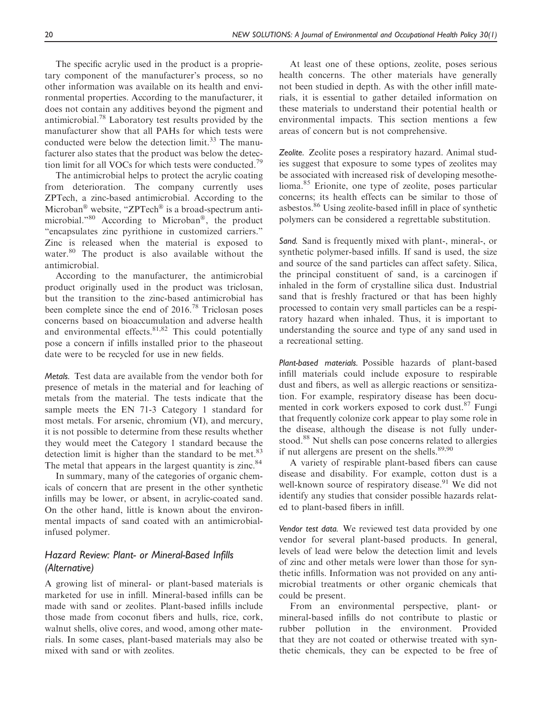tion limit for all VOCs for which tests were conducted.<sup>79</sup> The antimicrobial helps to protect the acrylic coating from deterioration. The company currently uses ZPTech, a zinc-based antimicrobial. According to the Microban<sup>®</sup> website, "ZPTech® is a broad-spectrum antimicrobial."<sup>80</sup> According to Microban®, the product "encapsulates zinc pyrithione in customized carriers." Zinc is released when the material is exposed to water.<sup>80</sup> The product is also available without the antimicrobial.

facturer also states that the product was below the detec-

According to the manufacturer, the antimicrobial product originally used in the product was triclosan, but the transition to the zinc-based antimicrobial has been complete since the end of 2016.<sup>78</sup> Triclosan poses concerns based on bioaccumulation and adverse health and environmental effects. $81,82$  This could potentially pose a concern if infills installed prior to the phaseout date were to be recycled for use in new fields.

Metals. Test data are available from the vendor both for presence of metals in the material and for leaching of metals from the material. The tests indicate that the sample meets the EN 71-3 Category 1 standard for most metals. For arsenic, chromium (VI), and mercury, it is not possible to determine from these results whether they would meet the Category 1 standard because the detection limit is higher than the standard to be met. $83$ The metal that appears in the largest quantity is zinc.<sup>84</sup>

In summary, many of the categories of organic chemicals of concern that are present in the other synthetic infills may be lower, or absent, in acrylic-coated sand. On the other hand, little is known about the environmental impacts of sand coated with an antimicrobialinfused polymer.

### Hazard Review: Plant- or Mineral-Based Infills (Alternative)

A growing list of mineral- or plant-based materials is marketed for use in infill. Mineral-based infills can be made with sand or zeolites. Plant-based infills include those made from coconut fibers and hulls, rice, cork, walnut shells, olive cores, and wood, among other materials. In some cases, plant-based materials may also be mixed with sand or with zeolites.

At least one of these options, zeolite, poses serious health concerns. The other materials have generally not been studied in depth. As with the other infill materials, it is essential to gather detailed information on these materials to understand their potential health or environmental impacts. This section mentions a few areas of concern but is not comprehensive.

Zeolite. Zeolite poses a respiratory hazard. Animal studies suggest that exposure to some types of zeolites may be associated with increased risk of developing mesothelioma.<sup>85</sup> Erionite, one type of zeolite, poses particular concerns; its health effects can be similar to those of asbestos.86 Using zeolite-based infill in place of synthetic polymers can be considered a regrettable substitution.

Sand. Sand is frequently mixed with plant-, mineral-, or synthetic polymer-based infills. If sand is used, the size and source of the sand particles can affect safety. Silica, the principal constituent of sand, is a carcinogen if inhaled in the form of crystalline silica dust. Industrial sand that is freshly fractured or that has been highly processed to contain very small particles can be a respiratory hazard when inhaled. Thus, it is important to understanding the source and type of any sand used in a recreational setting.

Plant-based materials. Possible hazards of plant-based infill materials could include exposure to respirable dust and fibers, as well as allergic reactions or sensitization. For example, respiratory disease has been documented in cork workers exposed to cork dust.<sup>87</sup> Fungi that frequently colonize cork appear to play some role in the disease, although the disease is not fully understood.<sup>88</sup> Nut shells can pose concerns related to allergies if nut allergens are present on the shells. $89,90$ 

A variety of respirable plant-based fibers can cause disease and disability. For example, cotton dust is a well-known source of respiratory disease.<sup>91</sup> We did not identify any studies that consider possible hazards related to plant-based fibers in infill.

Vendor test data. We reviewed test data provided by one vendor for several plant-based products. In general, levels of lead were below the detection limit and levels of zinc and other metals were lower than those for synthetic infills. Information was not provided on any antimicrobial treatments or other organic chemicals that could be present.

From an environmental perspective, plant- or mineral-based infills do not contribute to plastic or rubber pollution in the environment. Provided that they are not coated or otherwise treated with synthetic chemicals, they can be expected to be free of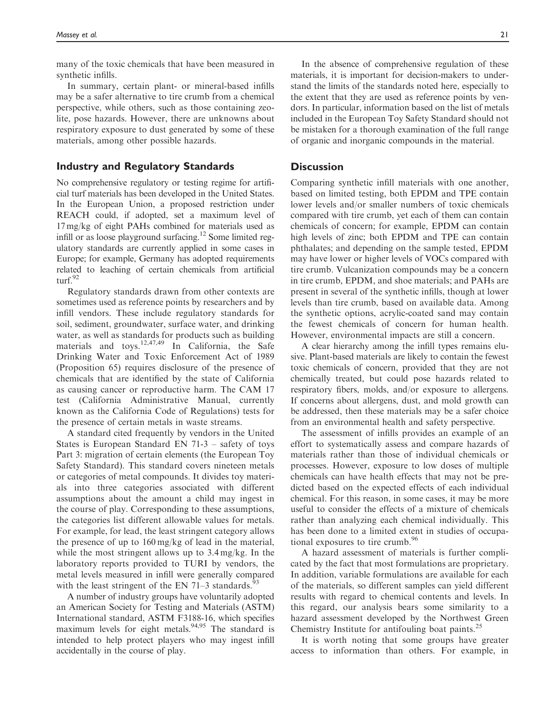many of the toxic chemicals that have been measured in synthetic infills.

In summary, certain plant- or mineral-based infills may be a safer alternative to tire crumb from a chemical perspective, while others, such as those containing zeolite, pose hazards. However, there are unknowns about respiratory exposure to dust generated by some of these materials, among other possible hazards.

### Industry and Regulatory Standards

No comprehensive regulatory or testing regime for artificial turf materials has been developed in the United States. In the European Union, a proposed restriction under REACH could, if adopted, set a maximum level of 17 mg/kg of eight PAHs combined for materials used as infill or as loose playground surfacing.<sup>12</sup> Some limited regulatory standards are currently applied in some cases in Europe; for example, Germany has adopted requirements related to leaching of certain chemicals from artificial turf. $92$ 

Regulatory standards drawn from other contexts are sometimes used as reference points by researchers and by infill vendors. These include regulatory standards for soil, sediment, groundwater, surface water, and drinking water, as well as standards for products such as building materials and toys.<sup>12,47,49</sup> In California, the Safe Drinking Water and Toxic Enforcement Act of 1989 (Proposition 65) requires disclosure of the presence of chemicals that are identified by the state of California as causing cancer or reproductive harm. The CAM 17 test (California Administrative Manual, currently known as the California Code of Regulations) tests for the presence of certain metals in waste streams.

A standard cited frequently by vendors in the United States is European Standard EN 71-3 – safety of toys Part 3: migration of certain elements (the European Toy Safety Standard). This standard covers nineteen metals or categories of metal compounds. It divides toy materials into three categories associated with different assumptions about the amount a child may ingest in the course of play. Corresponding to these assumptions, the categories list different allowable values for metals. For example, for lead, the least stringent category allows the presence of up to 160 mg/kg of lead in the material, while the most stringent allows up to 3.4 mg/kg. In the laboratory reports provided to TURI by vendors, the metal levels measured in infill were generally compared with the least stringent of the EN  $71-3$  standards.<sup>93</sup>

A number of industry groups have voluntarily adopted an American Society for Testing and Materials (ASTM) International standard, ASTM F3188-16, which specifies maximum levels for eight metals.<sup>94,95</sup> The standard is intended to help protect players who may ingest infill accidentally in the course of play.

In the absence of comprehensive regulation of these materials, it is important for decision-makers to understand the limits of the standards noted here, especially to the extent that they are used as reference points by vendors. In particular, information based on the list of metals included in the European Toy Safety Standard should not be mistaken for a thorough examination of the full range of organic and inorganic compounds in the material.

### **Discussion**

Comparing synthetic infill materials with one another, based on limited testing, both EPDM and TPE contain lower levels and/or smaller numbers of toxic chemicals compared with tire crumb, yet each of them can contain chemicals of concern; for example, EPDM can contain high levels of zinc; both EPDM and TPE can contain phthalates; and depending on the sample tested, EPDM may have lower or higher levels of VOCs compared with tire crumb. Vulcanization compounds may be a concern in tire crumb, EPDM, and shoe materials; and PAHs are present in several of the synthetic infills, though at lower levels than tire crumb, based on available data. Among the synthetic options, acrylic-coated sand may contain the fewest chemicals of concern for human health. However, environmental impacts are still a concern.

A clear hierarchy among the infill types remains elusive. Plant-based materials are likely to contain the fewest toxic chemicals of concern, provided that they are not chemically treated, but could pose hazards related to respiratory fibers, molds, and/or exposure to allergens. If concerns about allergens, dust, and mold growth can be addressed, then these materials may be a safer choice from an environmental health and safety perspective.

The assessment of infills provides an example of an effort to systematically assess and compare hazards of materials rather than those of individual chemicals or processes. However, exposure to low doses of multiple chemicals can have health effects that may not be predicted based on the expected effects of each individual chemical. For this reason, in some cases, it may be more useful to consider the effects of a mixture of chemicals rather than analyzing each chemical individually. This has been done to a limited extent in studies of occupational exposures to tire crumb.<sup>96</sup>

A hazard assessment of materials is further complicated by the fact that most formulations are proprietary. In addition, variable formulations are available for each of the materials, so different samples can yield different results with regard to chemical contents and levels. In this regard, our analysis bears some similarity to a hazard assessment developed by the Northwest Green Chemistry Institute for antifouling boat paints.<sup>25</sup>

It is worth noting that some groups have greater access to information than others. For example, in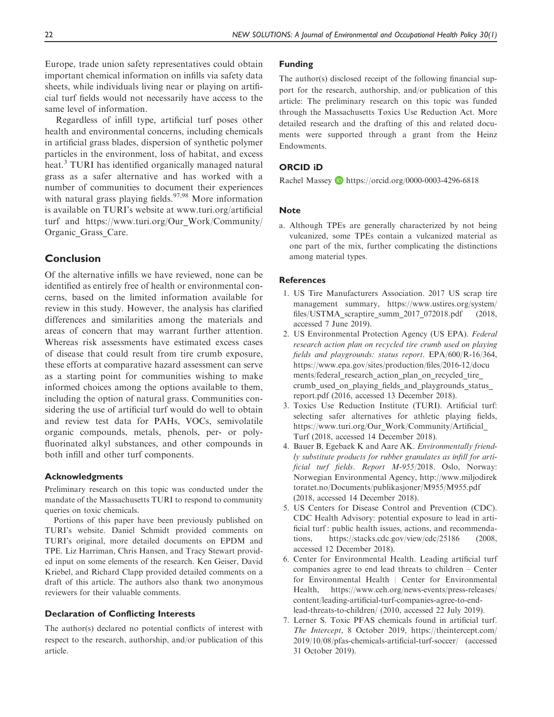Europe, trade union safety representatives could obtain important chemical information on infills via safety data sheets, while individuals living near or playing on artificial turf fields would not necessarily have access to the same level of information.

Regardless of infill type, artificial turf poses other health and environmental concerns, including chemicals in artificial grass blades, dispersion of synthetic polymer particles in the environment, loss of habitat, and excess heat.<sup>3</sup> TURI has identified organically managed natural grass as a safer alternative and has worked with a number of communities to document their experiences with natural grass playing fields.<sup>97,98</sup> More information is available on TURI's website at [www.turi.org/artificial](http://www.turi.org/artificialturf) [turf](http://www.turi.org/artificialturf) and [https://www.turi.org/Our\\_Work/Community/](https://www.turi.org/Our_Work/Community/Organic_Grass_Care) [Organic\\_Grass\\_Care](https://www.turi.org/Our_Work/Community/Organic_Grass_Care).

### Conclusion

Of the alternative infills we have reviewed, none can be identified as entirely free of health or environmental concerns, based on the limited information available for review in this study. However, the analysis has clarified differences and similarities among the materials and areas of concern that may warrant further attention. Whereas risk assessments have estimated excess cases of disease that could result from tire crumb exposure, these efforts at comparative hazard assessment can serve as a starting point for communities wishing to make informed choices among the options available to them, including the option of natural grass. Communities considering the use of artificial turf would do well to obtain and review test data for PAHs, VOCs, semivolatile organic compounds, metals, phenols, per- or polyfluorinated alkyl substances, and other compounds in both infill and other turf components.

### Acknowledgments

Preliminary research on this topic was conducted under the mandate of the Massachusetts TURI to respond to community queries on toxic chemicals.

Portions of this paper have been previously published on TURI's website. Daniel Schmidt provided comments on TURI's original, more detailed documents on EPDM and TPE. Liz Harriman, Chris Hansen, and Tracy Stewart provided input on some elements of the research. Ken Geiser, David Kriebel, and Richard Clapp provided detailed comments on a draft of this article. The authors also thank two anonymous reviewers for their valuable comments.

#### Declaration of Conflicting Interests

The author(s) declared no potential conflicts of interest with respect to the research, authorship, and/or publication of this article.

### Funding

The author(s) disclosed receipt of the following financial support for the research, authorship, and/or publication of this article: The preliminary research on this topic was funded through the Massachusetts Toxics Use Reduction Act. More detailed research and the drafting of this and related documents were supported through a grant from the Heinz Endowments.

### ORCID iD

Rachel Massey D <https://orcid.org/0000-0003-4296-6818>

#### **Note**

a. Although TPEs are generally characterized by not being vulcanized, some TPEs contain a vulcanized material as one part of the mix, further complicating the distinctions among material types.

### **References**

- 1. US Tire Manufacturers Association. 2017 US scrap tire management summary, [https://www.ustires.org/system/](https://www.ustires.org/system/files/USTMA_scraptire_summ_2017_072018.pdf) [files/USTMA\\_scraptire\\_summ\\_2017\\_072018.pdf](https://www.ustires.org/system/files/USTMA_scraptire_summ_2017_072018.pdf) (2018, accessed 7 June 2019).
- 2. US Environmental Protection Agency (US EPA). Federal research action plan on recycled tire crumb used on playing fields and playgrounds: status report. EPA/600/R-16/364, [https://www.epa.gov/sites/production/files/2016-12/docu](https://www.epa.gov/sites/production/files/2016-12/documents/federal_research_action_plan_on_recycled_tire_crumb_used_on_playing_fields_and_playgrounds_status_report.pdf) ments/federal\_research\_action\_plan\_on\_recycled\_tire [crumb\\_used\\_on\\_playing\\_fields\\_and\\_playgrounds\\_status\\_](https://www.epa.gov/sites/production/files/2016-12/documents/federal_research_action_plan_on_recycled_tire_crumb_used_on_playing_fields_and_playgrounds_status_report.pdf) [report.pdf](https://www.epa.gov/sites/production/files/2016-12/documents/federal_research_action_plan_on_recycled_tire_crumb_used_on_playing_fields_and_playgrounds_status_report.pdf) (2016, accessed 13 December 2018).
- 3. Toxics Use Reduction Institute (TURI). Artificial turf: selecting safer alternatives for athletic playing fields, [https://www.turi.org/Our\\_Work/Community/Artificial\\_](https://www.turi.org/Our_Work/Community/Artificial_Turf) [Turf](https://www.turi.org/Our_Work/Community/Artificial_Turf) (2018, accessed 14 December 2018).
- 4. Bauer B, Egebaek K and Aare AK. Environmentally friendly substitute products for rubber granulates as infill for artificial turf fields. Report M-955/2018. Oslo, Norway: Norwegian Environmental Agency, [http://www.miljodirek](http://www.miljodirektoratet.no/Documents/publikasjoner/M955/M955.pdf) [toratet.no/Documents/publikasjoner/M955/M955.pdf](http://www.miljodirektoratet.no/Documents/publikasjoner/M955/M955.pdf) (2018, accessed 14 December 2018).
- 5. US Centers for Disease Control and Prevention (CDC). CDC Health Advisory: potential exposure to lead in artificial turf : public health issues, actions, and recommendations,<https://stacks.cdc.gov/view/cdc/25186> (2008, accessed 12 December 2018).
- 6. Center for Environmental Health. Leading artificial turf companies agree to end lead threats to children – Center for Environmental Health | Center for Environmental Health, [https://www.ceh.org/news-events/press-releases/](https://www.ceh.org/news-events/press-releases/content/leading-artificial-turf-companies-agree-to-end-lead-threats-to-children/) [content/leading-artificial-turf-companies-agree-to-end](https://www.ceh.org/news-events/press-releases/content/leading-artificial-turf-companies-agree-to-end-lead-threats-to-children/)[lead-threats-to-children/](https://www.ceh.org/news-events/press-releases/content/leading-artificial-turf-companies-agree-to-end-lead-threats-to-children/) (2010, accessed 22 July 2019).
- 7. Lerner S. Toxic PFAS chemicals found in artificial turf. The Intercept, 8 October 2019, [https://theintercept.com/](https://theintercept.com/2019/10/08/pfas-chemicals-artificial-turf-soccer/) [2019/10/08/pfas-chemicals-artificial-turf-soccer/](https://theintercept.com/2019/10/08/pfas-chemicals-artificial-turf-soccer/) (accessed 31 October 2019).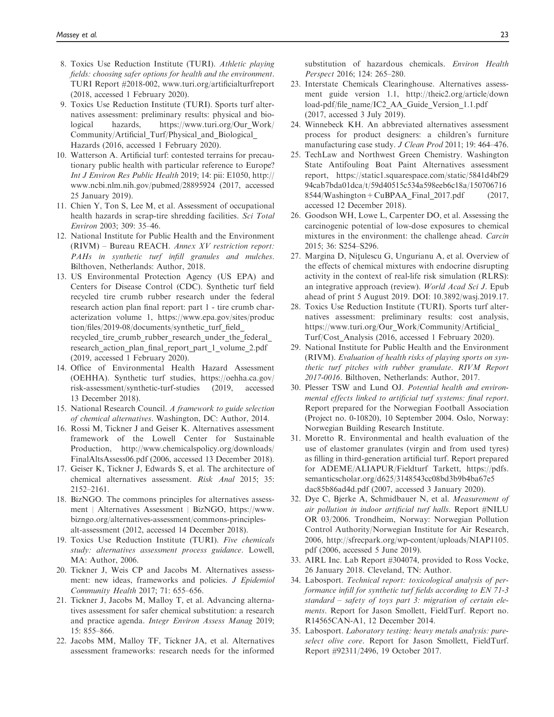- 8. Toxics Use Reduction Institute (TURI). Athletic playing fields: choosing safer options for health and the environment. TURI Report #2018-002, [www.turi.org/artificialturfreport](http://www.turi.org/artificialturfreport) (2018, accessed 1 February 2020).
- 9. Toxics Use Reduction Institute (TURI). Sports turf alternatives assessment: preliminary results: physical and biological hazards, [https://www.turi.org/Our\\_Work/](https://www.turi.org/Our_Work/Community/Artificial_Turf/Physical_and_Biological_Hazards) [Community/Artificial\\_Turf/Physical\\_and\\_Biological\\_](https://www.turi.org/Our_Work/Community/Artificial_Turf/Physical_and_Biological_Hazards) [Hazards](https://www.turi.org/Our_Work/Community/Artificial_Turf/Physical_and_Biological_Hazards) (2016, accessed 1 February 2020).
- 10. Watterson A. Artificial turf: contested terrains for precautionary public health with particular reference to Europe? Int J Environ Res Public Health 2019; 14: pii: E1050, [http://](http://www.ncbi.nlm.nih.gov/pubmed/28895924) [www.ncbi.nlm.nih.gov/pubmed/28895924](http://www.ncbi.nlm.nih.gov/pubmed/28895924) (2017, accessed 25 January 2019).
- 11. Chien Y, Ton S, Lee M, et al. Assessment of occupational health hazards in scrap-tire shredding facilities. Sci Total Environ 2003; 309: 35–46.
- 12. National Institute for Public Health and the Environment  $(RIVM)$  – Bureau REACH. Annex XV restriction report: PAHs in synthetic turf infill granules and mulches. Bilthoven, Netherlands: Author, 2018.
- 13. US Environmental Protection Agency (US EPA) and Centers for Disease Control (CDC). Synthetic turf field recycled tire crumb rubber research under the federal research action plan final report: part 1 - tire crumb characterization volume 1, [https://www.epa.gov/sites/produc](https://www.epa.gov/sites/production/files/2019-08/documents/synthetic_turf_field_recycled_tire_crumb_rubber_research_under_the_federal_research_action_plan_final_report_part_1_volume_2.pdf) [tion/files/2019-08/documents/synthetic\\_turf\\_field\\_](https://www.epa.gov/sites/production/files/2019-08/documents/synthetic_turf_field_recycled_tire_crumb_rubber_research_under_the_federal_research_action_plan_final_report_part_1_volume_2.pdf) [recycled\\_tire\\_crumb\\_rubber\\_research\\_under\\_the\\_federal\\_](https://www.epa.gov/sites/production/files/2019-08/documents/synthetic_turf_field_recycled_tire_crumb_rubber_research_under_the_federal_research_action_plan_final_report_part_1_volume_2.pdf) [research\\_action\\_plan\\_final\\_report\\_part\\_1\\_volume\\_2.pdf](https://www.epa.gov/sites/production/files/2019-08/documents/synthetic_turf_field_recycled_tire_crumb_rubber_research_under_the_federal_research_action_plan_final_report_part_1_volume_2.pdf) (2019, accessed 1 February 2020).
- 14. Office of Environmental Health Hazard Assessment (OEHHA). Synthetic turf studies, [https://oehha.ca.gov/](https://oehha.ca.gov/risk-assessment/synthetic-turf-studies) [risk-assessment/synthetic-turf-studies](https://oehha.ca.gov/risk-assessment/synthetic-turf-studies) (2019, accessed 13 December 2018).
- 15. National Research Council. A framework to guide selection of chemical alternatives. Washington, DC: Author, 2014.
- 16. Rossi M, Tickner J and Geiser K. Alternatives assessment framework of the Lowell Center for Sustainable Production, [http://www.chemicalspolicy.org/downloads/](http://www.chemicalspolicy.org/downloads/FinalAltsAssess06.pdf) [FinalAltsAssess06.pdf](http://www.chemicalspolicy.org/downloads/FinalAltsAssess06.pdf) (2006, accessed 13 December 2018).
- 17. Geiser K, Tickner J, Edwards S, et al. The architecture of chemical alternatives assessment. Risk Anal 2015; 35: 2152–2161.
- 18. BizNGO. The commons principles for alternatives assessment | Alternatives Assessment | BizNGO, [https://www.](https://www.bizngo.org/alternatives-assessment/commons-principles-alt-assessment) [bizngo.org/alternatives-assessment/commons-principles](https://www.bizngo.org/alternatives-assessment/commons-principles-alt-assessment)[alt-assessment](https://www.bizngo.org/alternatives-assessment/commons-principles-alt-assessment) (2012, accessed 14 December 2018).
- 19. Toxics Use Reduction Institute (TURI). Five chemicals study: alternatives assessment process guidance. Lowell, MA: Author, 2006.
- 20. Tickner J, Weis CP and Jacobs M. Alternatives assessment: new ideas, frameworks and policies. *J Epidemiol* Community Health 2017; 71: 655–656.
- 21. Tickner J, Jacobs M, Malloy T, et al. Advancing alternatives assessment for safer chemical substitution: a research and practice agenda. Integr Environ Assess Manag 2019; 15: 855–866.
- 22. Jacobs MM, Malloy TF, Tickner JA, et al. Alternatives assessment frameworks: research needs for the informed

substitution of hazardous chemicals. Environ Health Perspect 2016; 124: 265–280.

- 23. Interstate Chemicals Clearinghouse. Alternatives assessment guide version 1.1, [http://theic2.org/article/down](http://theic2.org/article/download-pdf/file_name/IC2_AA_Guide_Version_1.1.pdf) [load-pdf/file\\_name/IC2\\_AA\\_Guide\\_Version\\_1.1.pdf](http://theic2.org/article/download-pdf/file_name/IC2_AA_Guide_Version_1.1.pdf) (2017, accessed 3 July 2019).
- 24. Winnebeck KH. An abbreviated alternatives assessment process for product designers: a children's furniture manufacturing case study. J Clean Prod 2011; 19: 464-476.
- 25. TechLaw and Northwest Green Chemistry. Washington State Antifouling Boat Paint Alternatives assessment report, [https://static1.squarespace.com/static/5841d4bf29](https://static1.squarespace.com/static/5841d4bf2994cab7bda01dca/t/59d40515c534a598eeb6c18a/1507067168544/Washington+CuBPAA_Final_2017.pdf) [94cab7bda01dca/t/59d40515c534a598eeb6c18a/150706716](https://static1.squarespace.com/static/5841d4bf2994cab7bda01dca/t/59d40515c534a598eeb6c18a/1507067168544/Washington+CuBPAA_Final_2017.pdf)  $8544/Washington + CuBPAA$  Final 2017.pdf (2017, accessed 12 December 2018).
- 26. Goodson WH, Lowe L, Carpenter DO, et al. Assessing the carcinogenic potential of low-dose exposures to chemical mixtures in the environment: the challenge ahead. Carcin 2015; 36: S254–S296.
- 27. Margina D, Nitulescu G, Ungurianu A, et al. Overview of the effects of chemical mixtures with endocrine disrupting activity in the context of real-life risk simulation (RLRS): an integrative approach (review). World Acad Sci J. Epub ahead of print 5 August 2019. DOI: 10.3892/wasj.2019.17.
- 28. Toxics Use Reduction Institute (TURI). Sports turf alternatives assessment: preliminary results: cost analysis, [https://www.turi.org/Our\\_Work/Community/Artificial\\_](https://www.turi.org/Our_Work/Community/Artificial_Turf/Cost_Analysis) [Turf/Cost\\_Analysis](https://www.turi.org/Our_Work/Community/Artificial_Turf/Cost_Analysis) (2016, accessed 1 February 2020).
- 29. National Institute for Public Health and the Environment (RIVM). Evaluation of health risks of playing sports on synthetic turf pitches with rubber granulate. RIVM Report 2017-0016. Bilthoven, Netherlands: Author, 2017.
- 30. Plesser TSW and Lund OJ. Potential health and environmental effects linked to artificial turf systems: final report. Report prepared for the Norwegian Football Association (Project no. 0-10820), 10 September 2004. Oslo, Norway: Norwegian Building Research Institute.
- 31. Moretto R. Environmental and health evaluation of the use of elastomer granulates (virgin and from used tyres) as filling in third-generation artificial turf. Report prepared for ADEME/ALIAPUR/Fieldturf Tarkett, [https://pdfs.](https://pdfs.semanticscholar.org/d625/3148543cc08bd3b9b4ba67e5dac85b86ad4d.pdf) [semanticscholar.org/d625/3148543cc08bd3b9b4ba67e5](https://pdfs.semanticscholar.org/d625/3148543cc08bd3b9b4ba67e5dac85b86ad4d.pdf) [dac85b86ad4d.pdf](https://pdfs.semanticscholar.org/d625/3148543cc08bd3b9b4ba67e5dac85b86ad4d.pdf) (2007, accessed 3 January 2020).
- 32. Dye C, Bjerke A, Schmidbauer N, et al. Measurement of air pollution in indoor artificial turf halls. Report #NILU OR 03/2006. Trondheim, Norway: Norwegian Pollution Control Authority/Norwegian Institute for Air Research, 2006, [http://sfrecpark.org/wp-content/uploads/NIAP1105.](http://sfrecpark.org/wp-content/uploads/NIAP1105.pdf) [pdf](http://sfrecpark.org/wp-content/uploads/NIAP1105.pdf) (2006, accessed 5 June 2019).
- 33. AIRL Inc. Lab Report #304074, provided to Ross Vocke, 26 January 2018. Cleveland, TN: Author.
- 34. Labosport. Technical report: toxicological analysis of performance infill for synthetic turf fields according to EN 71-3 standard – safety of toys part 3: migration of certain elements. Report for Jason Smollett, FieldTurf. Report no. R14565CAN-A1, 12 December 2014.
- 35. Labosport. Laboratory testing: heavy metals analysis: pureselect olive core. Report for Jason Smollett, FieldTurf. Report #92311/2496, 19 October 2017.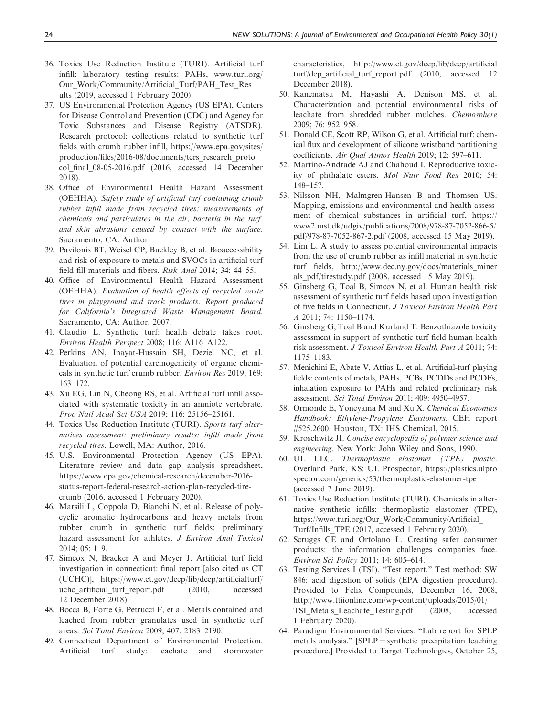- 36. Toxics Use Reduction Institute (TURI). Artificial turf infill: laboratory testing results: PAHs, [www.turi.org/](http://www.turi.org/Our_Work/Community/Artificial_Turf/PAH_Test_Results) [Our\\_Work/Community/Artificial\\_Turf/PAH\\_Test\\_Res](http://www.turi.org/Our_Work/Community/Artificial_Turf/PAH_Test_Results) [ults](http://www.turi.org/Our_Work/Community/Artificial_Turf/PAH_Test_Results) (2019, accessed 1 February 2020).
- 37. US Environmental Protection Agency (US EPA), Centers for Disease Control and Prevention (CDC) and Agency for Toxic Substances and Disease Registry (ATSDR). Research protocol: collections related to synthetic turf fields with crumb rubber infill, [https://www.epa.gov/sites/](https://www.epa.gov/sites/production/files/2016-08/documents/tcrs_research_protocol_final_08-05-2016.pdf) [production/files/2016-08/documents/tcrs\\_research\\_proto](https://www.epa.gov/sites/production/files/2016-08/documents/tcrs_research_protocol_final_08-05-2016.pdf) [col\\_final\\_08-05-2016.pdf](https://www.epa.gov/sites/production/files/2016-08/documents/tcrs_research_protocol_final_08-05-2016.pdf) (2016, accessed 14 December 2018).
- 38. Office of Environmental Health Hazard Assessment (OEHHA). Safety study of artificial turf containing crumb rubber infill made from recycled tires: measurements of chemicals and particulates in the air, bacteria in the turf, and skin abrasions caused by contact with the surface. Sacramento, CA: Author.
- 39. Pavilonis BT, Weisel CP, Buckley B, et al. Bioaccessibility and risk of exposure to metals and SVOCs in artificial turf field fill materials and fibers. Risk Anal 2014; 34: 44–55.
- 40. Office of Environmental Health Hazard Assessment (OEHHA). Evaluation of health effects of recycled waste tires in playground and track products. Report produced for California's Integrated Waste Management Board. Sacramento, CA: Author, 2007.
- 41. Claudio L. Synthetic turf: health debate takes root. Environ Health Perspect 2008; 116: A116–A122.
- 42. Perkins AN, Inayat-Hussain SH, Deziel NC, et al. Evaluation of potential carcinogenicity of organic chemicals in synthetic turf crumb rubber. Environ Res 2019; 169: 163–172.
- 43. Xu EG, Lin N, Cheong RS, et al. Artificial turf infill associated with systematic toxicity in an amniote vertebrate. Proc Natl Acad Sci USA 2019; 116: 25156–25161.
- 44. Toxics Use Reduction Institute (TURI). Sports turf alternatives assessment: preliminary results: infill made from recycled tires. Lowell, MA: Author, 2016.
- 45. U.S. Environmental Protection Agency (US EPA). Literature review and data gap analysis spreadsheet, [https://www.epa.gov/chemical-research/december-2016](https://www.epa.gov/chemical-research/december-2016-status-report-federal-research-action-plan-recycled-tire-crumb) [status-report-federal-research-action-plan-recycled-tire](https://www.epa.gov/chemical-research/december-2016-status-report-federal-research-action-plan-recycled-tire-crumb)[crumb](https://www.epa.gov/chemical-research/december-2016-status-report-federal-research-action-plan-recycled-tire-crumb) (2016, accessed 1 February 2020).
- 46. Marsili L, Coppola D, Bianchi N, et al. Release of polycyclic aromatic hydrocarbons and heavy metals from rubber crumb in synthetic turf fields: preliminary hazard assessment for athletes. *J Environ Anal Toxicol* 2014; 05: 1–9.
- 47. Simcox N, Bracker A and Meyer J. Artificial turf field investigation in connecticut: final report [also cited as CT (UCHC)], [https://www.ct.gov/deep/lib/deep/artificialturf/](https://www.ct.gov/deep/lib/deep/artificialturf/uchc_artificial_turf_report.pdf) uchc artificial turf report.pdf (2010, accessed 12 December 2018).
- 48. Bocca B, Forte G, Petrucci F, et al. Metals contained and leached from rubber granulates used in synthetic turf areas. Sci Total Environ 2009; 407: 2183–2190.
- 49. Connecticut Department of Environmental Protection. Artificial turf study: leachate and stormwater

characteristics, [http://www.ct.gov/deep/lib/deep/artificial](http://www.ct.gov/deep/lib/deep/artificialturf/dep_artificial_turf_report.pdf) [turf/dep\\_artificial\\_turf\\_report.pdf](http://www.ct.gov/deep/lib/deep/artificialturf/dep_artificial_turf_report.pdf) (2010, accessed 12 December 2018).

- 50. Kanematsu M, Hayashi A, Denison MS, et al. Characterization and potential environmental risks of leachate from shredded rubber mulches. Chemosphere 2009; 76: 952–958.
- 51. Donald CE, Scott RP, Wilson G, et al. Artificial turf: chemical flux and development of silicone wristband partitioning coefficients. Air Qual Atmos Health 2019; 12: 597–611.
- 52. Martino-Andrade AJ and Chahoud I. Reproductive toxicity of phthalate esters. Mol Nutr Food Res 2010; 54: 148–157.
- 53. Nilsson NH, Malmgren-Hansen B and Thomsen US. Mapping, emissions and environmental and health assessment of chemical substances in artificial turf, [https://](https://www2.mst.dk/udgiv/publications/2008/978-87-7052-866-5/pdf/978-87-7052-867-2.pdf) [www2.mst.dk/udgiv/publications/2008/978-87-7052-866-5/](https://www2.mst.dk/udgiv/publications/2008/978-87-7052-866-5/pdf/978-87-7052-867-2.pdf) [pdf/978-87-7052-867-2.pdf](https://www2.mst.dk/udgiv/publications/2008/978-87-7052-866-5/pdf/978-87-7052-867-2.pdf) (2008, accessed 15 May 2019).
- 54. Lim L. A study to assess potential environmental impacts from the use of crumb rubber as infill material in synthetic turf fields, [http://www.dec.ny.gov/docs/materials\\_miner](http://www.dec.ny.gov/docs/materials_minerals_pdf/tirestudy.pdf) [als\\_pdf/tirestudy.pdf](http://www.dec.ny.gov/docs/materials_minerals_pdf/tirestudy.pdf) (2008, accessed 15 May 2019).
- 55. Ginsberg G, Toal B, Simcox N, et al. Human health risk assessment of synthetic turf fields based upon investigation of five fields in Connecticut. J Toxicol Environ Health Part A 2011; 74: 1150–1174.
- 56. Ginsberg G, Toal B and Kurland T. Benzothiazole toxicity assessment in support of synthetic turf field human health risk assessment. J Toxicol Environ Health Part A 2011; 74: 1175–1183.
- 57. Menichini E, Abate V, Attias L, et al. Artificial-turf playing fields: contents of metals, PAHs, PCBs, PCDDs and PCDFs, inhalation exposure to PAHs and related preliminary risk assessment. Sci Total Environ 2011; 409: 4950–4957.
- 58. Ormonde E, Yoneyama M and Xu X. Chemical Economics Handbook: Ethylene-Propylene Elastomers. CEH report #525.2600. Houston, TX: IHS Chemical, 2015.
- 59. Kroschwitz JI. Concise encyclopedia of polymer science and engineering. New York: John Wiley and Sons, 1990.
- 60. UL LLC. Thermoplastic elastomer (TPE) plastic. Overland Park, KS: UL Prospector, [https://plastics.ulpro](https://plastics.ulprospector.com/generics/53/thermoplastic-elastomer-tpe) [spector.com/generics/53/thermoplastic-elastomer-tpe](https://plastics.ulprospector.com/generics/53/thermoplastic-elastomer-tpe) (accessed 7 June 2019).
- 61. Toxics Use Reduction Institute (TURI). Chemicals in alternative synthetic infills: thermoplastic elastomer (TPE), [https://www.turi.org/Our\\_Work/Community/Artificial\\_](https://www.turi.org/Our_Work/Community/Artificial_Turf/Infills_TPE) [Turf/Infills\\_TPE](https://www.turi.org/Our_Work/Community/Artificial_Turf/Infills_TPE) (2017, accessed 1 February 2020).
- 62. Scruggs CE and Ortolano L. Creating safer consumer products: the information challenges companies face. Environ Sci Policy 2011; 14: 605–614.
- 63. Testing Services I (TSI). "Test report." Test method: SW 846: acid digestion of solids (EPA digestion procedure). Provided to Felix Compounds, December 16, 2008, [http://www.ttiionline.com/wp-content/uploads/2015/01/](http://www.ttiionline.com/wp-content/uploads/2015/01/TSI_Metals_Leachate_Testing.pdf) [TSI\\_Metals\\_Leachate\\_Testing.pdf](http://www.ttiionline.com/wp-content/uploads/2015/01/TSI_Metals_Leachate_Testing.pdf) (2008, accessed 1 February 2020).
- 64. Paradigm Environmental Services. "Lab report for SPLP metals analysis."  $[SPLP = synthetic\,\,precision\,\,leich>$ leaching procedure.] Provided to Target Technologies, October 25,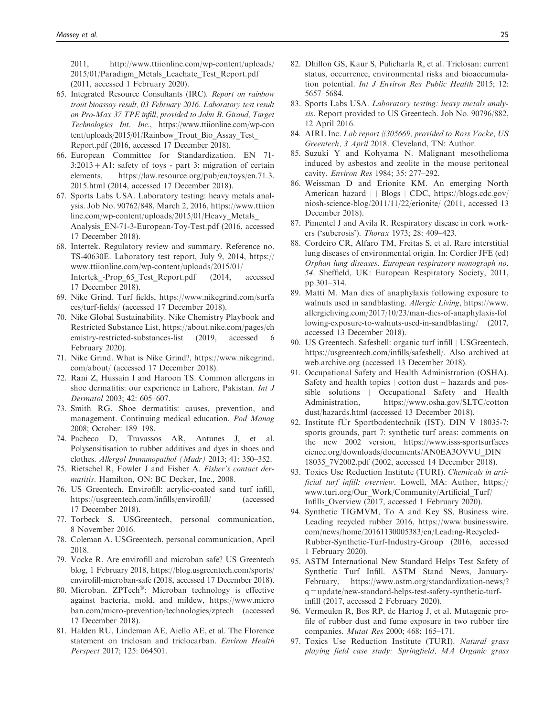2011, [http://www.ttiionline.com/wp-content/uploads/](http://www.ttiionline.com/wp-content/uploads/2015/01/Paradigm_Metals_Leachate_Test_Report.pdf) [2015/01/Paradigm\\_Metals\\_Leachate\\_Test\\_Report.pdf](http://www.ttiionline.com/wp-content/uploads/2015/01/Paradigm_Metals_Leachate_Test_Report.pdf) (2011, accessed 1 February 2020).

- 65. Integrated Resource Consultants (IRC). Report on rainbow trout bioassay result, 03 February 2016. Laboratory test result on Pro-Max 37 TPE infill, provided to John B. Giraud, Target Technologies Int. Inc., [https://www.ttiionline.com/wp-con](https://www.ttiionline.com/wp-content/uploads/2015/01/Rainbow_Trout_Bio_Assay_Test_Report.pdf) [tent/uploads/2015/01/Rainbow\\_Trout\\_Bio\\_Assay\\_Test\\_](https://www.ttiionline.com/wp-content/uploads/2015/01/Rainbow_Trout_Bio_Assay_Test_Report.pdf) [Report.pdf](https://www.ttiionline.com/wp-content/uploads/2015/01/Rainbow_Trout_Bio_Assay_Test_Report.pdf) (2016, accessed 17 December 2018).
- 66. European Committee for Standardization. EN 71-  $3:2013 + A1$ : safety of toys - part 3: migration of certain elements, https://law.resource.org/pub/eu/toys/en.71.3. https://law.resource.org/pub/eu/toys/en.71.3. [2015.html](https://law.resource.org/pub/eu/toys/en.71.3.2015.html) (2014, accessed 17 December 2018).
- 67. Sports Labs USA. Laboratory testing: heavy metals analysis. Job No. 90762/848, March 2, 2016, [https://www.ttiion](https://www.ttiionline.com/wp-content/uploads/2015/01/Heavy_Metals_Analysis_EN-71-3-European-Toy-Test.pdf) [line.com/wp-content/uploads/2015/01/Heavy\\_Metals\\_](https://www.ttiionline.com/wp-content/uploads/2015/01/Heavy_Metals_Analysis_EN-71-3-European-Toy-Test.pdf) [Analysis\\_EN-71-3-European-Toy-Test.pdf](https://www.ttiionline.com/wp-content/uploads/2015/01/Heavy_Metals_Analysis_EN-71-3-European-Toy-Test.pdf) (2016, accessed 17 December 2018).
- 68. Intertek. Regulatory review and summary. Reference no. TS-40630E. Laboratory test report, July 9, 2014, [https://](https://www.ttiionline.com/wp-content/uploads/2015/01/Intertek_-Prop_65_Test_Report.pdf) [www.ttiionline.com/wp-content/uploads/2015/01/](https://www.ttiionline.com/wp-content/uploads/2015/01/Intertek_-Prop_65_Test_Report.pdf) Intertek -Prop 65 Test Report.pdf (2014, accessed 17 December 2018).
- 69. Nike Grind. Turf fields, [https://www.nikegrind.com/surfa](https://www.nikegrind.com/surfaces/turf-fields/) [ces/turf-fields/](https://www.nikegrind.com/surfaces/turf-fields/) (accessed 17 December 2018).
- 70. Nike Global Sustainability. Nike Chemistry Playbook and Restricted Substance List, [https://about.nike.com/pages/ch](https://about.nike.com/pages/chemistry-restricted-substances-list) [emistry-restricted-substances-list](https://about.nike.com/pages/chemistry-restricted-substances-list) (2019, accessed February 2020).
- 71. Nike Grind. What is Nike Grind?, [https://www.nikegrind.](https://www.nikegrind.com/about/) [com/about/](https://www.nikegrind.com/about/) (accessed 17 December 2018).
- 72. Rani Z, Hussain I and Haroon TS. Common allergens in shoe dermatitis: our experience in Lahore, Pakistan. Int J Dermatol 2003; 42: 605–607.
- 73. Smith RG. Shoe dermatitis: causes, prevention, and management. Continuing medical education. Pod Manag 2008; October: 189–198.
- 74. Pacheco D, Travassos AR, Antunes J, et al. Polysensitisation to rubber additives and dyes in shoes and clothes. Allergol Immunopathol (Madr) 2013; 41: 350–352.
- 75. Rietschel R, Fowler J and Fisher A. Fisher's contact dermatitis. Hamilton, ON: BC Decker, Inc., 2008.
- 76. US Greentech. Envirofill: acrylic-coated sand turf infill, <https://usgreentech.com/infills/envirofill/> (accessed 17 December 2018).
- 77. Torbeck S. USGreentech, personal communication, 8 November 2016.
- 78. Coleman A. USGreentech, personal communication, April 2018.
- 79. Vocke R. Are envirofill and microban safe? US Greentech blog, 1 February 2018, [https://blog.usgreentech.com/sports/](https://blog.usgreentech.com/sports/envirofill-microban-safe) [envirofill-microban-safe](https://blog.usgreentech.com/sports/envirofill-microban-safe) (2018, accessed 17 December 2018).
- 80. Microban. ZPTech®: Microban technology is effective against bacteria, mold, and mildew, [https://www.micro](https://www.microban.com/micro-prevention/technologies/zptech) [ban.com/micro-prevention/technologies/zptech](https://www.microban.com/micro-prevention/technologies/zptech) (accessed 17 December 2018).
- 81. Halden RU, Lindeman AE, Aiello AE, et al. The Florence statement on triclosan and triclocarban. Environ Health Perspect 2017; 125: 064501.
- 82. Dhillon GS, Kaur S, Pulicharla R, et al. Triclosan: current status, occurrence, environmental risks and bioaccumulation potential. Int J Environ Res Public Health 2015; 12: 5657–5684.
- 83. Sports Labs USA. Laboratory testing: heavy metals analysis. Report provided to US Greentech. Job No. 90796/882, 12 April 2016.
- 84. AIRL Inc. Lab report #305669, provided to Ross Vocke, US Greentech, 3 April 2018. Cleveland, TN: Author.
- 85. Suzuki Y and Kohyama N. Malignant mesothelioma induced by asbestos and zeolite in the mouse peritoneal cavity. Environ Res 1984; 35: 277–292.
- 86. Weissman D and Erionite KM. An emerging North American hazard | | Blogs | CDC, [https://blogs.cdc.gov/](https://blogs.cdc.gov/niosh-science-blog/2011/11/22/erionite/) [niosh-science-blog/2011/11/22/erionite/](https://blogs.cdc.gov/niosh-science-blog/2011/11/22/erionite/) (2011, accessed 13 December 2018).
- 87. Pimentel J and Avila R. Respiratory disease in cork workers ('suberosis'). Thorax 1973; 28: 409–423.
- 88. Cordeiro CR, Alfaro TM, Freitas S, et al. Rare interstitial lung diseases of environmental origin. In: Cordier JFE (ed) Orphan lung diseases. European respiratory monograph no. 54. Sheffield, UK: European Respiratory Society, 2011, pp.301–314.
- 89. Matti M. Man dies of anaphylaxis following exposure to walnuts used in sandblasting. Allergic Living, [https://www.](https://www.allergicliving.com/2017/10/23/man-dies-of-anaphylaxis-following-exposure-to-walnuts-used-in-sandblasting/) [allergicliving.com/2017/10/23/man-dies-of-anaphylaxis-fol](https://www.allergicliving.com/2017/10/23/man-dies-of-anaphylaxis-following-exposure-to-walnuts-used-in-sandblasting/) [lowing-exposure-to-walnuts-used-in-sandblasting/](https://www.allergicliving.com/2017/10/23/man-dies-of-anaphylaxis-following-exposure-to-walnuts-used-in-sandblasting/) (2017, accessed 13 December 2018).
- 90. US Greentech. Safeshell: organic turf infill | USGreentech, [https://usgreentech.com/infills/safeshell/.](https://usgreentech.com/infills/safeshell/) Also archived at web.archive.org (accessed 13 December 2018).
- 91. Occupational Safety and Health Administration (OSHA). Safety and health topics | cotton dust – hazards and possible solutions | Occupational Safety and Health Administration, [https://www.osha.gov/SLTC/cotton](https://www.osha.gov/SLTC/cottondust/hazards.html) [dust/hazards.html](https://www.osha.gov/SLTC/cottondust/hazards.html) (accessed 13 December 2018).
- 92. Institute fÜr Sportbodentechnik (IST). DIN V 18035-7: sports grounds, part 7: synthetic turf areas: comments on the new 2002 version, [https://www.isss-sportsurfaces](https://www.isss-sportsurfacescience.org/downloads/documents/AN0EA3OVVU_DIN18035_7V2002.pdf) [cience.org/downloads/documents/AN0EA3OVVU\\_DIN](https://www.isss-sportsurfacescience.org/downloads/documents/AN0EA3OVVU_DIN18035_7V2002.pdf) [18035\\_7V2002.pdf](https://www.isss-sportsurfacescience.org/downloads/documents/AN0EA3OVVU_DIN18035_7V2002.pdf) (2002, accessed 14 December 2018).
- 93. Toxics Use Reduction Institute (TURI). Chemicals in artificial turf infill: overview. Lowell, MA: Author, [https://](https://www.turi.org/Our_Work/Community/Artificial_Turf/Infills_Overview) [www.turi.org/Our\\_Work/Community/Artificial\\_Turf/](https://www.turi.org/Our_Work/Community/Artificial_Turf/Infills_Overview) [Infills\\_Overview](https://www.turi.org/Our_Work/Community/Artificial_Turf/Infills_Overview) (2017, accessed 1 February 2020).
- 94. Synthetic TIGMVM, To A and Key SS, Business wire. Leading recycled rubber 2016, [https://www.businesswire.](https://www.businesswire.com/news/home/20161130005383/en/Leading-Recycled-Rubber-Synthetic-Turf-Industry-Group) [com/news/home/20161130005383/en/Leading-Recycled-](https://www.businesswire.com/news/home/20161130005383/en/Leading-Recycled-Rubber-Synthetic-Turf-Industry-Group)[Rubber-Synthetic-Turf-Industry-Group](https://www.businesswire.com/news/home/20161130005383/en/Leading-Recycled-Rubber-Synthetic-Turf-Industry-Group) (2016, accessed 1 February 2020).
- 95. ASTM International New Standard Helps Test Safety of Synthetic Turf Infill. ASTM Stand News, January-February, [https://www.astm.org/standardization-news/?](https://www.astm.org/standardization-news/?q=update/new-standard-helps-test-safety-synthetic-turf-infill) [q=update/new-standard-helps-test-safety-synthetic-turf](https://www.astm.org/standardization-news/?q=update/new-standard-helps-test-safety-synthetic-turf-infill)[infill](https://www.astm.org/standardization-news/?q=update/new-standard-helps-test-safety-synthetic-turf-infill) (2017, accessed 2 February 2020).
- 96. Vermeulen R, Bos RP, de Hartog J, et al. Mutagenic profile of rubber dust and fume exposure in two rubber tire companies. Mutat Res 2000; 468: 165–171.
- 97. Toxics Use Reduction Institute (TURI). Natural grass playing field case study: Springfield, MA Organic grass